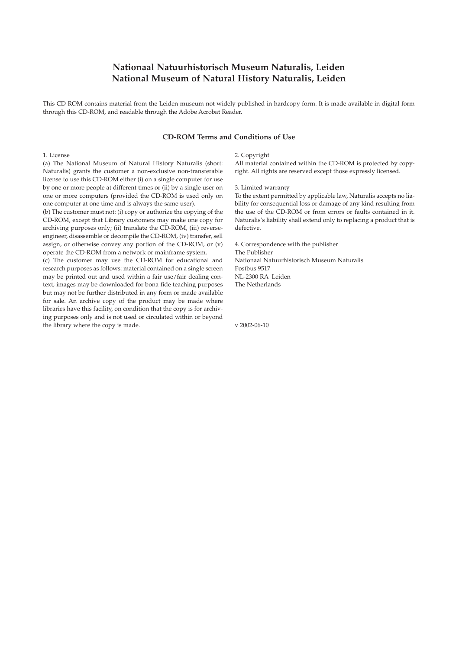# **Nationaal Natuurhistorisch Museum Naturalis, Leiden National Museum of Natural History Naturalis, Leiden**

This CD-ROM contains material from the Leiden museum not widely published in hardcopy form. It is made available in digital form through this CD-ROM, and readable through the Adobe Acrobat Reader.

## **CD-ROM Terms and Conditions of Use**

### 1. License

(a) The National Museum of Natural History Naturalis (short: Naturalis) grants the customer a non-exclusive non-transferable license to use this CD-ROM either (i) on a single computer for use by one or more people at different times or (ii) by a single user on one or more computers (provided the CD-ROM is used only on one computer at one time and is always the same user).

(b) The customer must not: (i) copy or authorize the copying of the CD-ROM, except that Library customers may make one copy for archiving purposes only; (ii) translate the CD-ROM, (iii) reverseengineer, disassemble or decompile the CD-ROM, (iv) transfer, sell assign, or otherwise convey any portion of the CD-ROM, or (v) operate the CD-ROM from a network or mainframe system.

(c) The customer may use the CD-ROM for educational and research purposes as follows: material contained on a single screen may be printed out and used within a fair use/fair dealing context; images may be downloaded for bona fide teaching purposes but may not be further distributed in any form or made available for sale. An archive copy of the product may be made where libraries have this facility, on condition that the copy is for archiving purposes only and is not used or circulated within or beyond the library where the copy is made.

#### 2. Copyright

All material contained within the CD-ROM is protected by copyright. All rights are reserved except those expressly licensed.

#### 3. Limited warranty

To the extent permitted by applicable law, Naturalis accepts no liability for consequential loss or damage of any kind resulting from the use of the CD-ROM or from errors or faults contained in it. Naturalis's liability shall extend only to replacing a product that is defective.

4. Correspondence with the publisher The Publisher Nationaal Natuurhistorisch Museum Naturalis Postbus 9517 NL-2300 RA Leiden The Netherlands

v 2002-06-10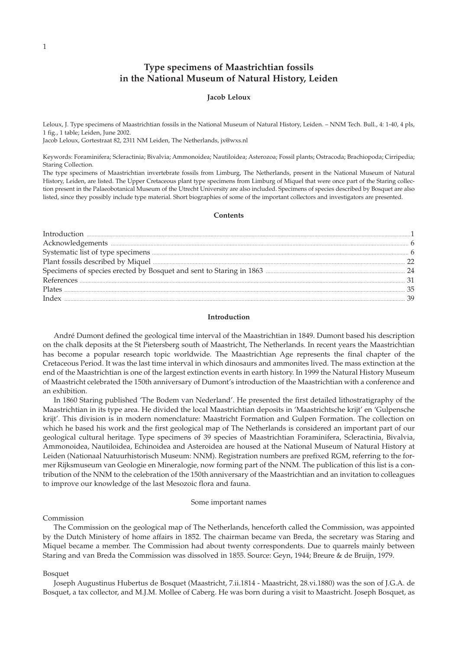# **Type specimens of Maastrichtian fossils in the National Museum of Natural History, Leiden**

## **Jacob Leloux**

Leloux, J. Type specimens of Maastrichtian fossils in the National Museum of Natural History, Leiden. – NNM Tech. Bull., 4: 1-40, 4 pls, 1 fig., 1 table; Leiden, June 2002.

Jacob Leloux, Gortestraat 82, 2311 NM Leiden, The Netherlands, jx@wxs.nl

Keywords: Foraminifera; Scleractinia; Bivalvia; Ammonoidea; Nautiloidea; Asterozoa; Fossil plants; Ostracoda; Brachiopoda; Cirripedia; Staring Collection.

The type specimens of Maastrichtian invertebrate fossils from Limburg, The Netherlands, present in the National Museum of Natural History, Leiden, are listed. The Upper Cretaceous plant type specimens from Limburg of Miquel that were once part of the Staring collection present in the Palaeobotanical Museum of the Utrecht University are also included. Specimens of species described by Bosquet are also listed, since they possibly include type material. Short biographies of some of the important collectors and investigators are presented.

## **Contents**

| Introduction <b>Execution</b> 1                      |  |
|------------------------------------------------------|--|
|                                                      |  |
|                                                      |  |
| Plant fossils described by Miquel <b>Exercise 22</b> |  |
|                                                      |  |
| References 233                                       |  |
|                                                      |  |
|                                                      |  |
|                                                      |  |

# **Introduction**

André Dumont defined the geological time interval of the Maastrichtian in 1849. Dumont based his description on the chalk deposits at the St Pietersberg south of Maastricht, The Netherlands. In recent years the Maastrichtian has become a popular research topic worldwide. The Maastrichtian Age represents the final chapter of the Cretaceous Period. It was the last time interval in which dinosaurs and ammonites lived. The mass extinction at the end of the Maastrichtian is one of the largest extinction events in earth history. In 1999 the Natural History Museum of Maastricht celebrated the 150th anniversary of Dumont's introduction of the Maastrichtian with a conference and an exhibition.

In 1860 Staring published 'The Bodem van Nederland'. He presented the first detailed lithostratigraphy of the Maastrichtian in its type area. He divided the local Maastrichtian deposits in 'Maastrichtsche krijt' en 'Gulpensche krijt'. This division is in modern nomenclature: Maastricht Formation and Gulpen Formation. The collection on which he based his work and the first geological map of The Netherlands is considered an important part of our geological cultural heritage. Type specimens of 39 species of Maastrichtian Foraminifera, Scleractinia, Bivalvia, Ammonoidea, Nautiloidea, Echinoidea and Asteroidea are housed at the National Museum of Natural History at Leiden (Nationaal Natuurhistorisch Museum: NNM). Registration numbers are prefixed RGM, referring to the former Rijksmuseum van Geologie en Mineralogie, now forming part of the NNM. The publication of this list is a contribution of the NNM to the celebration of the 150th anniversary of the Maastrichtian and an invitation to colleagues to improve our knowledge of the last Mesozoic flora and fauna.

### Some important names

### Commission

The Commission on the geological map of The Netherlands, henceforth called the Commission, was appointed by the Dutch Ministery of home affairs in 1852. The chairman became van Breda, the secretary was Staring and Miquel became a member. The Commission had about twenty correspondents. Due to quarrels mainly between Staring and van Breda the Commission was dissolved in 1855. Source: Geyn, 1944; Breure & de Bruijn, 1979.

### Bosquet

Joseph Augustinus Hubertus de Bosquet (Maastricht, 7.ii.1814 - Maastricht, 28.vi.1880) was the son of J.G.A. de Bosquet, a tax collector, and M.J.M. Mollee of Caberg. He was born during a visit to Maastricht. Joseph Bosquet, as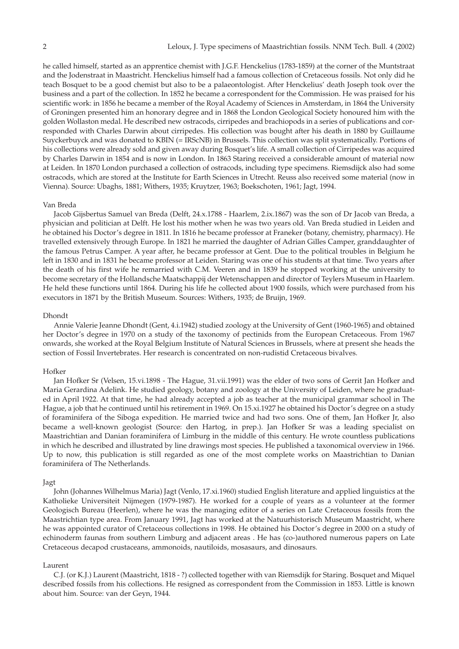he called himself, started as an apprentice chemist with J.G.F. Henckelius (1783-1859) at the corner of the Muntstraat and the Jodenstraat in Maastricht. Henckelius himself had a famous collection of Cretaceous fossils. Not only did he teach Bosquet to be a good chemist but also to be a palaeontologist. After Henckelius' death Joseph took over the business and a part of the collection. In 1852 he became a correspondent for the Commission. He was praised for his scientific work: in 1856 he became a member of the Royal Academy of Sciences in Amsterdam, in 1864 the University of Groningen presented him an honorary degree and in 1868 the London Geological Society honoured him with the golden Wollaston medal. He described new ostracods, cirripedes and brachiopods in a series of publications and corresponded with Charles Darwin about cirripedes. His collection was bought after his death in 1880 by Guillaume Suyckerbuyck and was donated to KBIN (= IRScNB) in Brussels. This collection was split systematically. Portions of his collections were already sold and given away during Bosquet's life. A small collection of Cirripedes was acquired by Charles Darwin in 1854 and is now in London. In 1863 Staring received a considerable amount of material now at Leiden. In 1870 London purchased a collection of ostracods, including type specimens. Riemsdijck also had some ostracods, which are stored at the Institute for Earth Sciences in Utrecht. Reuss also received some material (now in Vienna). Source: Ubaghs, 1881; Withers, 1935; Kruytzer, 1963; Boekschoten, 1961; Jagt, 1994.

#### Van Breda

Jacob Gijsbertus Samuel van Breda (Delft, 24.x.1788 - Haarlem, 2.ix.1867) was the son of Dr Jacob van Breda, a physician and politician at Delft. He lost his mother when he was two years old. Van Breda studied in Leiden and he obtained his Doctor's degree in 1811. In 1816 he became professor at Franeker (botany, chemistry, pharmacy). He travelled extensively through Europe. In 1821 he married the daughter of Adrian Gilles Camper, granddaughter of the famous Petrus Camper. A year after, he became professor at Gent. Due to the political troubles in Belgium he left in 1830 and in 1831 he became professor at Leiden. Staring was one of his students at that time. Two years after the death of his first wife he remarried with C.M. Veeren and in 1839 he stopped working at the university to become secretary of the Hollandsche Maatschappij der Wetenschappen and director of Teylers Museum in Haarlem. He held these functions until 1864. During his life he collected about 1900 fossils, which were purchased from his executors in 1871 by the British Museum. Sources: Withers, 1935; de Bruijn, 1969.

### Dhondt

Annie Valerie Jeanne Dhondt (Gent, 4.i.1942) studied zoology at the University of Gent (1960-1965) and obtained her Doctor's degree in 1970 on a study of the taxonomy of pectinids from the European Cretaceous. From 1967 onwards, she worked at the Royal Belgium Institute of Natural Sciences in Brussels, where at present she heads the section of Fossil Invertebrates. Her research is concentrated on non-rudistid Cretaceous bivalves.

## Hofker

Jan Hofker Sr (Velsen, 15.vi.1898 - The Hague, 31.vii.1991) was the elder of two sons of Gerrit Jan Hofker and Maria Gerardina Adelink. He studied geology, botany and zoology at the University of Leiden, where he graduated in April 1922. At that time, he had already accepted a job as teacher at the municipal grammar school in The Hague, a job that he continued until his retirement in 1969. On 15.xi.1927 he obtained his Doctor's degree on a study of foraminifera of the Siboga expedition. He married twice and had two sons. One of them, Jan Hofker Jr, also became a well-known geologist (Source: den Hartog, in prep.). Jan Hofker Sr was a leading specialist on Maastrichtian and Danian foraminifera of Limburg in the middle of this century. He wrote countless publications in which he described and illustrated by line drawings most species. He published a taxonomical overview in 1966. Up to now, this publication is still regarded as one of the most complete works on Maastrichtian to Danian foraminifera of The Netherlands.

#### Jagt

John (Johannes Wilhelmus Maria) Jagt (Venlo, 17.xi.1960) studied English literature and applied linguistics at the Katholieke Universiteit Nijmegen (1979-1987). He worked for a couple of years as a volunteer at the former Geologisch Bureau (Heerlen), where he was the managing editor of a series on Late Cretaceous fossils from the Maastrichtian type area. From January 1991, Jagt has worked at the Natuurhistorisch Museum Maastricht, where he was appointed curator of Cretaceous collections in 1998. He obtained his Doctor's degree in 2000 on a study of echinoderm faunas from southern Limburg and adjacent areas . He has (co-)authored numerous papers on Late Cretaceous decapod crustaceans, ammonoids, nautiloids, mosasaurs, and dinosaurs.

#### Laurent

C.J. (or K.J.) Laurent (Maastricht, 1818 - ?) collected together with van Riemsdijk for Staring. Bosquet and Miquel described fossils from his collections. He resigned as correspondent from the Commission in 1853. Little is known about him. Source: van der Geyn, 1944.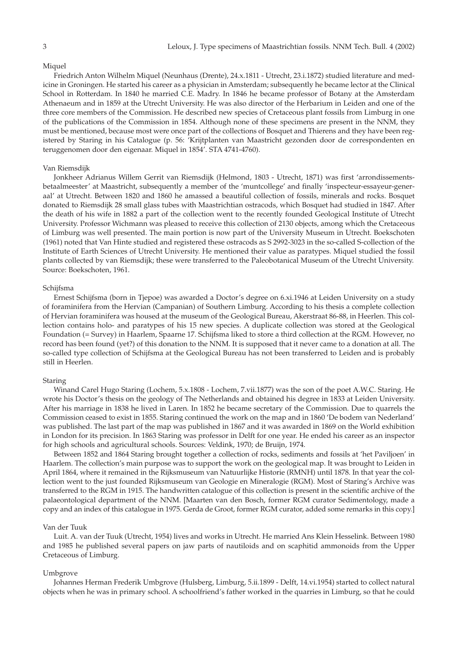#### Miquel

Friedrich Anton Wilhelm Miquel (Neunhaus (Drente), 24.x.1811 - Utrecht, 23.i.1872) studied literature and medicine in Groningen. He started his career as a physician in Amsterdam; subsequently he became lector at the Clinical School in Rotterdam. In 1840 he married C.E. Madry. In 1846 he became professor of Botany at the Amsterdam Athenaeum and in 1859 at the Utrecht University. He was also director of the Herbarium in Leiden and one of the three core members of the Commission. He described new species of Cretaceous plant fossils from Limburg in one of the publications of the Commission in 1854. Although none of these specimens are present in the NNM, they must be mentioned, because most were once part of the collections of Bosquet and Thierens and they have been registered by Staring in his Catalogue (p. 56: 'Krijtplanten van Maastricht gezonden door de correspondenten en teruggenomen door den eigenaar. Miquel in 1854'. STA 4741-4760).

#### Van Riemsdijk

Jonkheer Adrianus Willem Gerrit van Riemsdijk (Helmond, 1803 - Utrecht, 1871) was first 'arrondissementsbetaalmeester' at Maastricht, subsequently a member of the 'muntcollege' and finally 'inspecteur-essayeur-generaal' at Utrecht. Between 1820 and 1860 he amassed a beautiful collection of fossils, minerals and rocks. Bosquet donated to Riemsdijk 28 small glass tubes with Maastrichtian ostracods, which Bosquet had studied in 1847. After the death of his wife in 1882 a part of the collection went to the recently founded Geological Institute of Utrecht University. Professor Wichmann was pleased to receive this collection of 2130 objects, among which the Cretaceous of Limburg was well presented. The main portion is now part of the University Museum in Utrecht. Boekschoten (1961) noted that Van Hinte studied and registered these ostracods as S 2992-3023 in the so-called S-collection of the Institute of Earth Sciences of Utrecht University. He mentioned their value as paratypes. Miquel studied the fossil plants collected by van Riemsdijk; these were transferred to the Paleobotanical Museum of the Utrecht University. Source: Boekschoten, 1961.

### Schijfsma

Ernest Schijfsma (born in Tjepoe) was awarded a Doctor's degree on 6.xi.1946 at Leiden University on a study of foraminifera from the Hervian (Campanian) of Southern Limburg. According to his thesis a complete collection of Hervian foraminifera was housed at the museum of the Geological Bureau, Akerstraat 86-88, in Heerlen. This collection contains holo- and paratypes of his 15 new species. A duplicate collection was stored at the Geological Foundation (= Survey) in Haarlem, Spaarne 17. Schijfsma liked to store a third collection at the RGM. However, no record has been found (yet?) of this donation to the NNM. It is supposed that it never came to a donation at all. The so-called type collection of Schijfsma at the Geological Bureau has not been transferred to Leiden and is probably still in Heerlen.

#### Staring

Winand Carel Hugo Staring (Lochem, 5.x.1808 - Lochem, 7.vii.1877) was the son of the poet A.W.C. Staring. He wrote his Doctor's thesis on the geology of The Netherlands and obtained his degree in 1833 at Leiden University. After his marriage in 1838 he lived in Laren. In 1852 he became secretary of the Commission. Due to quarrels the Commission ceased to exist in 1855. Staring continued the work on the map and in 1860 'De bodem van Nederland' was published. The last part of the map was published in 1867 and it was awarded in 1869 on the World exhibition in London for its precision. In 1863 Staring was professor in Delft for one year. He ended his career as an inspector for high schools and agricultural schools. Sources: Veldink, 1970; de Bruijn, 1974.

Between 1852 and 1864 Staring brought together a collection of rocks, sediments and fossils at 'het Paviljoen' in Haarlem. The collection's main purpose was to support the work on the geological map. It was brought to Leiden in April 1864, where it remained in the Rijksmuseum van Natuurlijke Historie (RMNH) until 1878. In that year the collection went to the just founded Rijksmuseum van Geologie en Mineralogie (RGM). Most of Staring's Archive was transferred to the RGM in 1915. The handwritten catalogue of this collection is present in the scientific archive of the palaeontological department of the NNM. [Maarten van den Bosch, former RGM curator Sedimentology, made a copy and an index of this catalogue in 1975. Gerda de Groot, former RGM curator, added some remarks in this copy.]

### Van der Tuuk

Luit. A. van der Tuuk (Utrecht, 1954) lives and works in Utrecht. He married Ans Klein Hesselink. Between 1980 and 1985 he published several papers on jaw parts of nautiloids and on scaphitid ammonoids from the Upper Cretaceous of Limburg.

### Umbgrove

Johannes Herman Frederik Umbgrove (Hulsberg, Limburg, 5.ii.1899 - Delft, 14.vi.1954) started to collect natural objects when he was in primary school. A schoolfriend's father worked in the quarries in Limburg, so that he could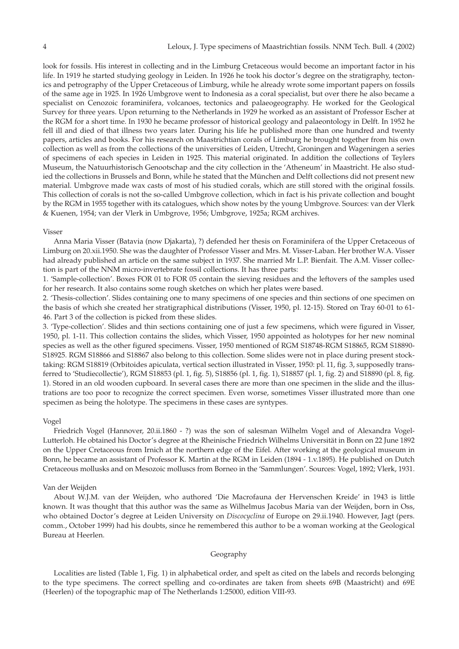look for fossils. His interest in collecting and in the Limburg Cretaceous would become an important factor in his life. In 1919 he started studying geology in Leiden. In 1926 he took his doctor's degree on the stratigraphy, tectonics and petrography of the Upper Cretaceous of Limburg, while he already wrote some important papers on fossils of the same age in 1925. In 1926 Umbgrove went to Indonesia as a coral specialist, but over there he also became a specialist on Cenozoic foraminifera, volcanoes, tectonics and palaeogeography. He worked for the Geological Survey for three years. Upon returning to the Netherlands in 1929 he worked as an assistant of Professor Escher at the RGM for a short time. In 1930 he became professor of historical geology and palaeontology in Delft. In 1952 he fell ill and died of that illness two years later. During his life he published more than one hundred and twenty papers, articles and books. For his research on Maastrichtian corals of Limburg he brought together from his own collection as well as from the collections of the universities of Leiden, Utrecht, Groningen and Wageningen a series of specimens of each species in Leiden in 1925. This material originated. In addition the collections of Teylers Museum, the Natuurhistorisch Genootschap and the city collection in the 'Atheneum' in Maastricht. He also studied the collections in Brussels and Bonn, while he stated that the München and Delft collections did not present new material. Umbgrove made wax casts of most of his studied corals, which are still stored with the original fossils. This collection of corals is not the so-called Umbgrove collection, which in fact is his private collection and bought by the RGM in 1955 together with its catalogues, which show notes by the young Umbgrove. Sources: van der Vlerk & Kuenen, 1954; van der Vlerk in Umbgrove, 1956; Umbgrove, 1925a; RGM archives.

## Visser

Anna Maria Visser (Batavia (now Djakarta), ?) defended her thesis on Foraminifera of the Upper Cretaceous of Limburg on 20.xii.1950. She was the daughter of Professor Visser and Mrs. M. Visser-Laban. Her brother W.A. Visser had already published an article on the same subject in 1937. She married Mr L.P. Bienfait. The A.M. Visser collection is part of the NNM micro-invertebrate fossil collections. It has three parts:

1. 'Sample-collection'. Boxes FOR 01 to FOR 05 contain the sieving residues and the leftovers of the samples used for her research. It also contains some rough sketches on which her plates were based.

2. 'Thesis-collection'. Slides containing one to many specimens of one species and thin sections of one specimen on the basis of which she created her stratigraphical distributions (Visser, 1950, pl. 12-15). Stored on Tray 60-01 to 61- 46. Part 3 of the collection is picked from these slides.

3. 'Type-collection'. Slides and thin sections containing one of just a few specimens, which were figured in Visser, 1950, pl. 1-11. This collection contains the slides, which Visser, 1950 appointed as holotypes for her new nominal species as well as the other figured specimens. Visser, 1950 mentioned of RGM S18748-RGM S18865, RGM S18890- S18925. RGM S18866 and S18867 also belong to this collection. Some slides were not in place during present stocktaking: RGM S18819 (Orbitoides apiculata, vertical section illustrated in Visser, 1950: pl. 11, fig. 3, supposedly transferred to 'Studiecollectie'), RGM S18853 (pl. 1, fig. 5), S18856 (pl. 1, fig. 1), S18857 (pl. 1, fig. 2) and S18890 (pl. 8, fig. 1). Stored in an old wooden cupboard. In several cases there are more than one specimen in the slide and the illustrations are too poor to recognize the correct specimen. Even worse, sometimes Visser illustrated more than one specimen as being the holotype. The specimens in these cases are syntypes.

#### Vogel

Friedrich Vogel (Hannover, 20.ii.1860 - ?) was the son of salesman Wilhelm Vogel and of Alexandra Vogel-Lutterloh. He obtained his Doctor's degree at the Rheinische Friedrich Wilhelms Universität in Bonn on 22 June 1892 on the Upper Cretaceous from Irnich at the northern edge of the Eifel. After working at the geological museum in Bonn, he became an assistant of Professor K. Martin at the RGM in Leiden (1894 - 1.v.1895). He published on Dutch Cretaceous mollusks and on Mesozoic molluscs from Borneo in the 'Sammlungen'. Sources: Vogel, 1892; Vlerk, 1931.

### Van der Weijden

About W.J.M. van der Weijden, who authored 'Die Macrofauna der Hervenschen Kreide' in 1943 is little known. It was thought that this author was the same as Wilhelmus Jacobus Maria van der Weijden, born in Oss, who obtained Doctor's degree at Leiden University on *Discocyclina* of Europe on 29.ii.1940. However, Jagt (pers. comm., October 1999) had his doubts, since he remembered this author to be a woman working at the Geological Bureau at Heerlen.

# Geography

Localities are listed (Table 1, Fig. 1) in alphabetical order, and spelt as cited on the labels and records belonging to the type specimens. The correct spelling and co-ordinates are taken from sheets 69B (Maastricht) and 69E (Heerlen) of the topographic map of The Netherlands 1:25000, edition VIII-93.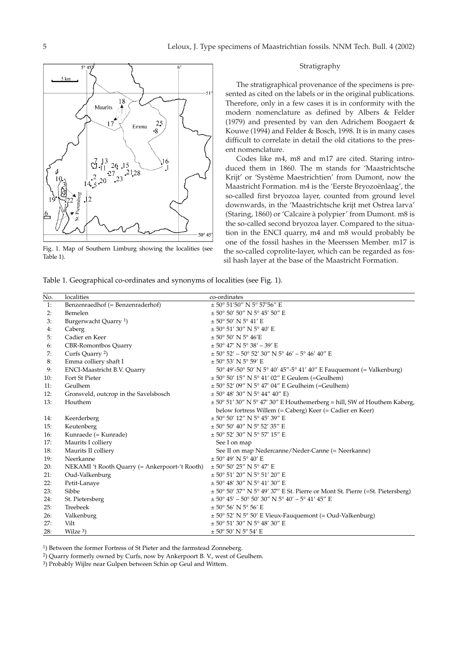

Fig. 1. Map of Southern Limburg showing the localities (see Table 1).

### Stratigraphy

The stratigraphical provenance of the specimens is presented as cited on the labels or in the original publications. Therefore, only in a few cases it is in conformity with the modern nomenclature as defined by Albers & Felder (1979) and presented by van den Adrichem Boogaert & Kouwe (1994) and Felder & Bosch, 1998. It is in many cases difficult to correlate in detail the old citations to the present nomenclature.

Codes like m4, m8 and m17 are cited. Staring introduced them in 1860. The m stands for 'Maastrichtsche Krijt' or 'Système Maestrichtien' from Dumont, now the Maastricht Formation. m4 is the 'Eerste Bryozoënlaag', the so-called first bryozoa layer, counted from ground level downwards, in the 'Maastrichtsche krijt met Ostrea larva' (Staring, 1860) or 'Calcaire à polypier' from Dumont. m8 is the so-called second bryozoa layer. Compared to the situation in the ENCI quarry, m4 and m8 would probably be one of the fossil hashes in the Meerssen Member. m17 is the so-called coprolite-layer, which can be regarded as fossil hash layer at the base of the Maastricht Formation.

Table 1. Geographical co-ordinates and synonyms of localities (see Fig. 1).

| No. | localities                                     | co-ordinates                                                                                               |
|-----|------------------------------------------------|------------------------------------------------------------------------------------------------------------|
| 1:  | Benzenraedhof (= Benzenraderhof)               | $\pm$ 50° 51'50" N 5° 57'56" E                                                                             |
| 2:  | Bemelen                                        | $\pm$ 50° 50′ 50″ N 5° 45′ 50″ E                                                                           |
| 3:  | Burgerwacht Quarry <sup>1</sup> )              | $\pm$ 50° 50′ N 5° 41′ E                                                                                   |
| 4:  | Caberg                                         | $\pm$ 50° 51′ 30″ N 5° 40′ E                                                                               |
| 5:  | Cadier en Keer                                 | $\pm$ 50° 50′ N 5° 46′E                                                                                    |
| 6:  | <b>CBR-Romontbos Quarry</b>                    | $\pm$ 50° 47′ N 5° 38′ – 39′ E                                                                             |
| 7:  | Curfs Quarry <sup>2</sup> )                    | $\pm$ 50° 52′ - 50° 52′ 30″ N 5° 46′ - 5° 46′ 40″ E                                                        |
| 8:  | Emma colliery shaft I                          | $\pm$ 50° 53′ N 5° 59′ E                                                                                   |
| 9:  | ENCI-Maastricht B.V. Quarry                    | $50^{\circ}$ 49'-50 $^{\circ}$ 50' N 5 $^{\circ}$ 40' 45"-5 $^{\circ}$ 41' 40" E Fauquemont (= Valkenburg) |
| 10: | Fort St Pieter                                 | $\pm$ 50° 50′ 15″ N 5° 41′ 02″ E Geulem (=Geulhem)                                                         |
| 11: | Geulhem                                        | $\pm$ 50° 52′ 09″ N 5° 47′ 04″ E Geulheim (=Geulhem)                                                       |
| 12: | Gronsveld, outcrop in the Savelsbosch          | $\pm$ 50° 48′ 30″ N 5° 44″ 40″ E)                                                                          |
| 13: | Houthem                                        | $\pm$ 50° 51′ 30″ N 5° 47′ 30″ E Houthemerberg = hill, SW of Houthem Kaberg,                               |
|     |                                                | below fortress Willem (= Caberg) Keer (= Cadier en Keer)                                                   |
| 14: | Keerderberg                                    | $\pm$ 50° 50′ 12″ N 5° 45′ 39″ E                                                                           |
| 15: | Keutenberg                                     | $\pm$ 50° 50′ 40″ N 5° 52′ 35″ E                                                                           |
| 16: | Kunraede (= Kunrade)                           | $\pm$ 50° 52′ 30″ N 5° 57′ 15″ E                                                                           |
| 17: | Maurits I colliery                             | See I on map                                                                                               |
| 18: | Maurits II colliery                            | See II on map Nedercanne/Neder-Canne (= Neerkanne)                                                         |
| 19: | Neerkanne                                      | $\pm$ 50° 49′ N 5° 40′ E                                                                                   |
| 20: | NEKAMI 't Rooth Quarry (= Ankerpoort-'t Rooth) | $\pm$ 50° 50′ 25″ N 5° 47′ E                                                                               |
| 21: | Oud-Valkenburg                                 | $\pm$ 50° 51′ 20″ N 5° 51′ 20″ E                                                                           |
| 22: | Petit-Lanaye                                   | $\pm$ 50° 48′ 30″ N 5° 41′ 30″ E                                                                           |
| 23: | Sibbe                                          | $\pm$ 50° 50′ 37″ N 5° 49′ 37″ E St. Pierre or Mont St. Pierre (=St. Pietersberg)                          |
| 24: | St. Pietersberg                                | $\pm$ 50° 45′ - 50° 50′ 30″ N 5° 40′ - 5° 41′ 45″ E                                                        |
| 25: | Treebeek                                       | $\pm$ 50° 56′ N 5° 56′ E                                                                                   |
| 26: | Valkenburg                                     | $\pm$ 50° 52′ N 5° 50′ E Vieux-Fauquemont (= Oud-Valkenburg)                                               |
| 27: | Vilt                                           | $\pm$ 50° 51′ 30″ N 5° 48′ 30″ E                                                                           |
| 28: | Wilze $3$ )                                    | $\pm$ 50° 50′ N 5° 54′ E                                                                                   |

1) Between the former Fortress of St Pieter and the farmstead Zonneberg.

2) Quarry formerly owned by Curfs, now by Ankerpoort B. V., west of Geulhem.

3) Probably Wijlre near Gulpen between Schin op Geul and Wittem.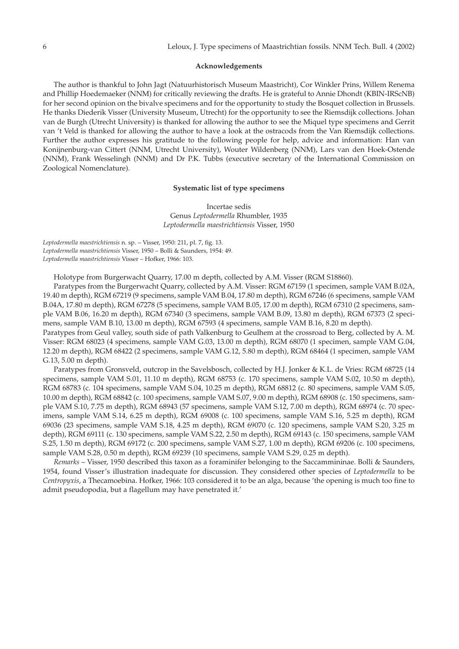#### **Acknowledgements**

The author is thankful to John Jagt (Natuurhistorisch Museum Maastricht), Cor Winkler Prins, Willem Renema and Phillip Hoedemaeker (NNM) for critically reviewing the drafts. He is grateful to Annie Dhondt (KBIN-IRScNB) for her second opinion on the bivalve specimens and for the opportunity to study the Bosquet collection in Brussels. He thanks Diederik Visser (University Museum, Utrecht) for the opportunity to see the Riemsdijk collections. Johan van de Burgh (Utrecht University) is thanked for allowing the author to see the Miquel type specimens and Gerrit van 't Veld is thanked for allowing the author to have a look at the ostracods from the Van Riemsdijk collections. Further the author expresses his gratitude to the following people for help, advice and information: Han van Konijnenburg-van Cittert (NNM, Utrecht University), Wouter Wildenberg (NNM), Lars van den Hoek-Ostende (NNM), Frank Wesselingh (NNM) and Dr P.K. Tubbs (executive secretary of the International Commission on Zoological Nomenclature).

# **Systematic list of type specimens**

Incertae sedis Genus *Leptodermella* Rhumbler, 1935 *Leptodermella maestrichtiensis* Visser, 1950

*Leptodermella maestrichtiensis* n. sp. – Visser, 1950: 211, pl. 7, fig. 13. *Leptodermella maastrichtiensis* Visser, 1950 – Bolli & Saunders, 1954: 49. *Leptodermella maastrichtiensis* Visser – Hofker, 1966: 103.

Holotype from Burgerwacht Quarry, 17.00 m depth, collected by A.M. Visser (RGM S18860).

Paratypes from the Burgerwacht Quarry, collected by A.M. Visser: RGM 67159 (1 specimen, sample VAM B.02A, 19.40 m depth), RGM 67219 (9 specimens, sample VAM B.04, 17.80 m depth), RGM 67246 (6 specimens, sample VAM B.04A, 17.80 m depth), RGM 67278 (5 specimens, sample VAM B.05, 17.00 m depth), RGM 67310 (2 specimens, sample VAM B.06, 16.20 m depth), RGM 67340 (3 specimens, sample VAM B.09, 13.80 m depth), RGM 67373 (2 specimens, sample VAM B.10, 13.00 m depth), RGM 67593 (4 specimens, sample VAM B.16, 8.20 m depth).

Paratypes from Geul valley, south side of path Valkenburg to Geulhem at the crossroad to Berg, collected by A. M. Visser: RGM 68023 (4 specimens, sample VAM G.03, 13.00 m depth), RGM 68070 (1 specimen, sample VAM G.04, 12.20 m depth), RGM 68422 (2 specimens, sample VAM G.12, 5.80 m depth), RGM 68464 (1 specimen, sample VAM G.13, 5.00 m depth).

Paratypes from Gronsveld, outcrop in the Savelsbosch, collected by H.J. Jonker & K.L. de Vries: RGM 68725 (14 specimens, sample VAM S.01, 11.10 m depth), RGM 68753 (c. 170 specimens, sample VAM S.02, 10.50 m depth), RGM 68783 (c. 104 specimens, sample VAM S.04, 10.25 m depth), RGM 68812 (c. 80 specimens, sample VAM S.05, 10.00 m depth), RGM 68842 (c. 100 specimens, sample VAM S.07, 9.00 m depth), RGM 68908 (c. 150 specimens, sample VAM S.10, 7.75 m depth), RGM 68943 (57 specimens, sample VAM S.12, 7.00 m depth), RGM 68974 (c. 70 specimens, sample VAM S.14, 6.25 m depth), RGM 69008 (c. 100 specimens, sample VAM S.16, 5.25 m depth), RGM 69036 (23 specimens, sample VAM S.18, 4.25 m depth), RGM 69070 (c. 120 specimens, sample VAM S.20, 3.25 m depth), RGM 69111 (c. 130 specimens, sample VAM S.22, 2.50 m depth), RGM 69143 (c. 150 specimens, sample VAM S.25, 1.50 m depth), RGM 69172 (c. 200 specimens, sample VAM S.27, 1.00 m depth), RGM 69206 (c. 100 specimens, sample VAM S.28, 0.50 m depth), RGM 69239 (10 specimens, sample VAM S.29, 0.25 m depth).

*Remarks* – Visser, 1950 described this taxon as a foraminifer belonging to the Saccammininae. Bolli & Saunders, 1954, found Visser's illustration inadequate for discussion. They considered other species of *Leptodermella* to be *Centropyxis*, a Thecamoebina. Hofker, 1966: 103 considered it to be an alga, because 'the opening is much too fine to admit pseudopodia, but a flagellum may have penetrated it.'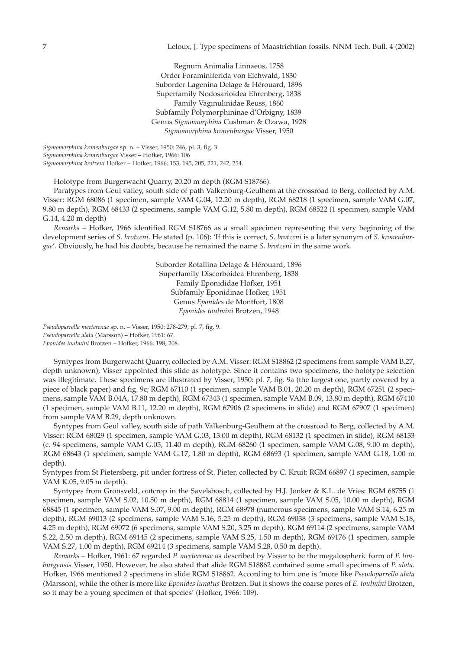Regnum Animalia Linnaeus, 1758 Order Foraminiferida von Eichwald, 1830 Suborder Lagenina Delage & Hérouard, 1896 Superfamily Nodosarioidea Ehrenberg, 1838 Family Vaginulinidae Reuss, 1860 Subfamily Polymorphininae d'Orbigny, 1839 Genus *Sigmomorphina* Cushman & Ozawa, 1928 *Sigmomorphina kronenburgae* Visser, 1950

*Sigmomorphina kronenburgae* sp. n. – Visser, 1950: 246, pl. 3, fig. 3. *Sigmomorphina kronenburgae* Visser – Hofker, 1966: 106 *Sigmomorphina brotzeni* Hofker – Hofker, 1966: 153, 195, 205, 221, 242, 254.

Holotype from Burgerwacht Quarry, 20.20 m depth (RGM S18766).

Paratypes from Geul valley, south side of path Valkenburg-Geulhem at the crossroad to Berg, collected by A.M. Visser: RGM 68086 (1 specimen, sample VAM G.04, 12.20 m depth), RGM 68218 (1 specimen, sample VAM G.07, 9.80 m depth), RGM 68433 (2 specimens, sample VAM G.12, 5.80 m depth), RGM 68522 (1 specimen, sample VAM G.14, 4.20 m depth)

*Remarks* – Hofker, 1966 identified RGM S18766 as a small specimen representing the very beginning of the development series of *S. brotzeni*. He stated (p. 106): 'If this is correct, *S. brotzeni* is a later synonym of *S. kronenburgae*'. Obviously, he had his doubts, because he remained the name *S. brotzeni* in the same work.

> Suborder Rotaliina Delage & Hérouard, 1896 Superfamily Discorboidea Ehrenberg, 1838 Family Eponididae Hofker, 1951 Subfamily Eponidinae Hofker, 1951 Genus *Eponides* de Montfort, 1808 *Eponides toulmini* Brotzen, 1948

*Pseudoparrella meeterenae* sp. n. – Visser, 1950: 278-279, pl. 7, fig. 9. *Pseudoparrella alata* (Marsson) – Hofker, 1961: 67. *Eponides toulmini* Brotzen – Hofker, 1966: 198, 208.

Syntypes from Burgerwacht Quarry, collected by A.M. Visser: RGM S18862 (2 specimens from sample VAM B.27, depth unknown), Visser appointed this slide as holotype. Since it contains two specimens, the holotype selection was illegitimate. These specimens are illustrated by Visser, 1950: pl. 7, fig. 9a (the largest one, partly covered by a piece of black paper) and fig. 9c; RGM 67110 (1 specimen, sample VAM B.01, 20.20 m depth), RGM 67251 (2 specimens, sample VAM B.04A, 17.80 m depth), RGM 67343 (1 specimen, sample VAM B.09, 13.80 m depth), RGM 67410 (1 specimen, sample VAM B.11, 12.20 m depth), RGM 67906 (2 specimens in slide) and RGM 67907 (1 specimen) from sample VAM B.29, depth unknown.

Syntypes from Geul valley, south side of path Valkenburg-Geulhem at the crossroad to Berg, collected by A.M. Visser: RGM 68029 (1 specimen, sample VAM G.03, 13.00 m depth), RGM 68132 (1 specimen in slide), RGM 68133 (c. 94 specimens, sample VAM G.05, 11.40 m depth), RGM 68260 (1 specimen, sample VAM G.08, 9.00 m depth), RGM 68643 (1 specimen, sample VAM G.17, 1.80 m depth), RGM 68693 (1 specimen, sample VAM G.18, 1.00 m depth).

Syntypes from St Pietersberg, pit under fortress of St. Pieter, collected by C. Kruit: RGM 66897 (1 specimen, sample VAM K.05, 9.05 m depth).

Syntypes from Gronsveld, outcrop in the Savelsbosch, collected by H.J. Jonker & K.L. de Vries: RGM 68755 (1 specimen, sample VAM S.02, 10.50 m depth), RGM 68814 (1 specimen, sample VAM S.05, 10.00 m depth), RGM 68845 (1 specimen, sample VAM S.07, 9.00 m depth), RGM 68978 (numerous specimens, sample VAM S.14, 6.25 m depth), RGM 69013 (2 specimens, sample VAM S.16, 5.25 m depth), RGM 69038 (3 specimens, sample VAM S.18, 4.25 m depth), RGM 69072 (6 specimens, sample VAM S.20, 3.25 m depth), RGM 69114 (2 specimens, sample VAM S.22, 2.50 m depth), RGM 69145 (2 specimens, sample VAM S.25, 1.50 m depth), RGM 69176 (1 specimen, sample VAM S.27, 1.00 m depth), RGM 69214 (3 specimens, sample VAM S.28, 0.50 m depth).

*Remarks* – Hofker, 1961: 67 regarded *P. meeterenae* as described by Visser to be the megalospheric form of *P. limburgensis* Visser, 1950. However, he also stated that slide RGM S18862 contained some small specimens of *P. alata*. Hofker, 1966 mentioned 2 specimens in slide RGM S18862. According to him one is 'more like *Pseudoparrella alata* (Marsson), while the other is more like *Eponides lunatus* Brotzen. But it shows the coarse pores of *E. toulmini* Brotzen, so it may be a young specimen of that species' (Hofker, 1966: 109).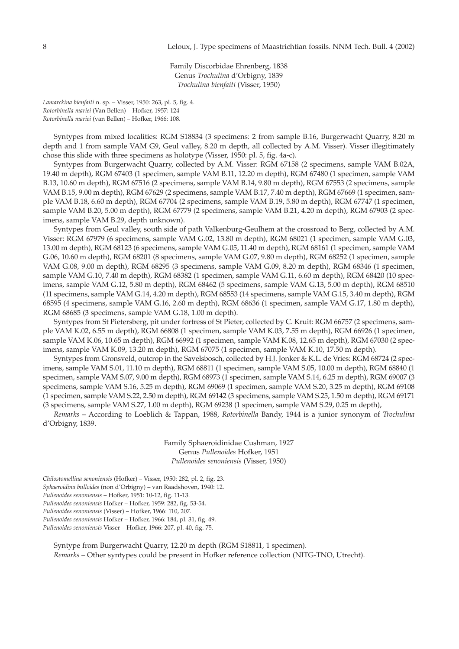Family Discorbidae Ehrenberg, 1838 Genus *Trochulina* d'Orbigny, 1839 *Trochulina bienfaiti* (Visser, 1950)

*Lamarckina bienfaiti* n. sp. – Visser, 1950: 263, pl. 5, fig. 4. *Rotorbinella mariei* (Van Bellen) – Hofker, 1957: 124 *Rotorbinella mariei* (van Bellen) – Hofker, 1966: 108.

Syntypes from mixed localities: RGM S18834 (3 specimens: 2 from sample B.16, Burgerwacht Quarry, 8.20 m depth and 1 from sample VAM G9, Geul valley, 8.20 m depth, all collected by A.M. Visser). Visser illegitimately chose this slide with three specimens as holotype (Visser, 1950: pl. 5, fig. 4a-c).

Syntypes from Burgerwacht Quarry, collected by A.M. Visser: RGM 67158 (2 specimens, sample VAM B.02A, 19.40 m depth), RGM 67403 (1 specimen, sample VAM B.11, 12.20 m depth), RGM 67480 (1 specimen, sample VAM B.13, 10.60 m depth), RGM 67516 (2 specimens, sample VAM B.14, 9.80 m depth), RGM 67553 (2 specimens, sample VAM B.15, 9.00 m depth), RGM 67629 (2 specimens, sample VAM B.17, 7.40 m depth), RGM 67669 (1 specimen, sample VAM B.18, 6.60 m depth), RGM 67704 (2 specimens, sample VAM B.19, 5.80 m depth), RGM 67747 (1 specimen, sample VAM B.20, 5.00 m depth), RGM 67779 (2 specimens, sample VAM B.21, 4.20 m depth), RGM 67903 (2 specimens, sample VAM B.29, depth unknown).

Syntypes from Geul valley, south side of path Valkenburg-Geulhem at the crossroad to Berg, collected by A.M. Visser: RGM 67979 (6 specimens, sample VAM G.02, 13.80 m depth), RGM 68021 (1 specimen, sample VAM G.03, 13.00 m depth), RGM 68123 (6 specimens, sample VAM G.05, 11.40 m depth), RGM 68161 (1 specimen, sample VAM G.06, 10.60 m depth), RGM 68201 (8 specimens, sample VAM G.07, 9.80 m depth), RGM 68252 (1 specimen, sample VAM G.08, 9.00 m depth), RGM 68295 (3 specimens, sample VAM G.09, 8.20 m depth), RGM 68346 (1 specimen, sample VAM G.10, 7.40 m depth), RGM 68382 (1 specimen, sample VAM G.11, 6.60 m depth), RGM 68420 (10 specimens, sample VAM G.12, 5.80 m depth), RGM 68462 (5 specimens, sample VAM G.13, 5.00 m depth), RGM 68510 (11 specimens, sample VAM G.14, 4.20 m depth), RGM 68553 (14 specimens, sample VAM G.15, 3.40 m depth), RGM 68595 (4 specimens, sample VAM G.16, 2.60 m depth), RGM 68636 (1 specimen, sample VAM G.17, 1.80 m depth), RGM 68685 (3 specimens, sample VAM G.18, 1.00 m depth).

Syntypes from St Pietersberg, pit under fortress of St Pieter, collected by C. Kruit: RGM 66757 (2 specimens, sample VAM K.02, 6.55 m depth), RGM 66808 (1 specimen, sample VAM K.03, 7.55 m depth), RGM 66926 (1 specimen, sample VAM K.06, 10.65 m depth), RGM 66992 (1 specimen, sample VAM K.08, 12.65 m depth), RGM 67030 (2 specimens, sample VAM K.09, 13.20 m depth), RGM 67075 (1 specimen, sample VAM K.10, 17.50 m depth).

Syntypes from Gronsveld, outcrop in the Savelsbosch, collected by H.J. Jonker & K.L. de Vries: RGM 68724 (2 specimens, sample VAM S.01, 11.10 m depth), RGM 68811 (1 specimen, sample VAM S.05, 10.00 m depth), RGM 68840 (1 specimen, sample VAM S.07, 9.00 m depth), RGM 68973 (1 specimen, sample VAM S.14, 6.25 m depth), RGM 69007 (3 specimens, sample VAM S.16, 5.25 m depth), RGM 69069 (1 specimen, sample VAM S.20, 3.25 m depth), RGM 69108 (1 specimen, sample VAM S.22, 2.50 m depth), RGM 69142 (3 specimens, sample VAM S.25, 1.50 m depth), RGM 69171 (3 specimens, sample VAM S.27, 1.00 m depth), RGM 69238 (1 specimen, sample VAM S.29, 0.25 m depth),

*Remarks* – According to Loeblich & Tappan, 1988, *Rotorbinella* Bandy, 1944 is a junior synonym of *Trochulina* d'Orbigny, 1839.

> Family Sphaeroidinidae Cushman, 1927 Genus *Pullenoides* Hofker, 1951 *Pullenoides senoniensis* (Visser, 1950)

*Chilostomellina senoniensis* (Hofker) – Visser, 1950: 282, pl. 2, fig. 23.

*Sphaeroidina bulloides* (non d'Orbigny) – van Raadshoven, 1940: 12.

*Pullenoides senoniensis* – Hofker, 1951: 10-12, fig. 11-13.

*Pullenoides senoniensis* Hofker – Hofker, 1959: 282, fig. 53-54.

*Pullenoides senoniensis* (Visser) – Hofker, 1966: 110, 207.

*Pullenoides senoniensis* Hofker – Hofker, 1966: 184, pl. 31, fig. 49.

*Pullenoides senoniensis* Visser – Hofker, 1966: 207, pl. 40, fig. 75.

Syntype from Burgerwacht Quarry, 12.20 m depth (RGM S18811, 1 specimen). *Remarks* – Other syntypes could be present in Hofker reference collection (NITG-TNO, Utrecht).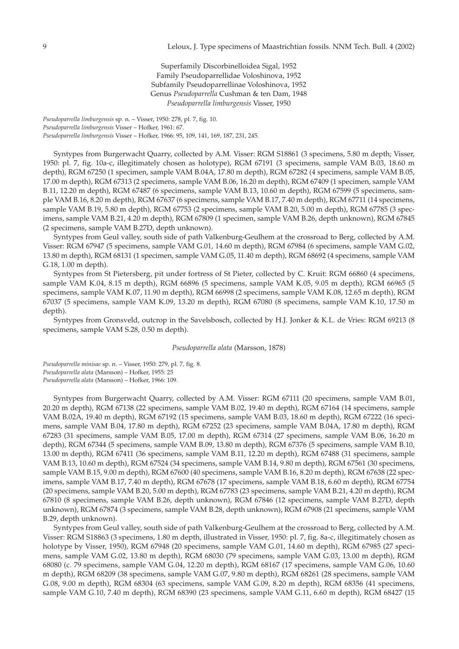Superfamily Discorbinelloidea Sigal, 1952 Family Pseudoparrellidae Voloshinova, 1952 Subfamily Pseudoparrellinae Voloshinova, 1952 Genus *Pseudoparrella* Cushman & ten Dam, 1948 *Pseudoparrella limburgensis* Visser, 1950

*Pseudoparrella limburgensis* sp. n. – Visser, 1950: 278, pl. 7, fig. 10. *Pseudoparrella limburgensis* Visser – Hofker, 1961: 67. *Pseudoparrella limburgensis* Visser – Hofker, 1966: 95, 109, 141, 169, 187, 231, 245.

Syntypes from Burgerwacht Quarry, collected by A.M. Visser: RGM S18861 (3 specimens, 5.80 m depth; Visser, 1950: pl. 7, fig. 10a-c, illegitimately chosen as holotype), RGM 67191 (3 specimens, sample VAM B.03, 18.60 m depth), RGM 67250 (1 specimen, sample VAM B.04A, 17.80 m depth), RGM 67282 (4 specimens, sample VAM B.05, 17.00 m depth), RGM 67313 (2 specimens, sample VAM B.06, 16.20 m depth), RGM 67409 (1 specimen, sample VAM B.11, 12.20 m depth), RGM 67487 (6 specimens, sample VAM B.13, 10.60 m depth), RGM 67599 (5 specimens, sample VAM B.16, 8.20 m depth), RGM 67637 (6 specimens, sample VAM B.17, 7.40 m depth), RGM 67711 (14 specimens, sample VAM B.19, 5.80 m depth), RGM 67753 (2 specimens, sample VAM B.20, 5.00 m depth), RGM 67785 (3 specimens, sample VAM B.21, 4.20 m depth), RGM 67809 (1 specimen, sample VAM B.26, depth unknown), RGM 67845 (2 specimens, sample VAM B.27D, depth unknown).

Syntypes from Geul valley, south side of path Valkenburg-Geulhem at the crossroad to Berg, collected by A.M. Visser: RGM 67947 (5 specimens, sample VAM G.01, 14.60 m depth), RGM 67984 (6 specimens, sample VAM G.02, 13.80 m depth), RGM 68131 (1 specimen, sample VAM G.05, 11.40 m depth), RGM 68692 (4 specimens, sample VAM G.18, 1.00 m depth).

Syntypes from St Pietersberg, pit under fortress of St Pieter, collected by C. Kruit: RGM 66860 (4 specimens, sample VAM K.04, 8.15 m depth), RGM 66896 (5 specimens, sample VAM K.05, 9.05 m depth), RGM 66965 (5 specimens, sample VAM K.07, 11.90 m depth), RGM 66998 (2 specimens, sample VAM K.08, 12.65 m depth), RGM 67037 (5 specimens, sample VAM K.09, 13.20 m depth), RGM 67080 (8 specimens, sample VAM K.10, 17.50 m depth).

Syntypes from Gronsveld, outcrop in the Savelsbosch, collected by H.J. Jonker & K.L. de Vries: RGM 69213 (8 specimens, sample VAM S.28, 0.50 m depth).

#### *Pseudoparrella alata* (Marsson, 1878)

*Pseudoparrella minisae* sp. n. – Visser, 1950: 279, pl. 7, fig. 8. *Pseudoparrella alata* (Marsson) – Hofker, 1955: 25 *Pseudoparrella alata* (Marsson) – Hofker, 1966: 109.

Syntypes from Burgerwacht Quarry, collected by A.M. Visser: RGM 67111 (20 specimens, sample VAM B.01, 20.20 m depth), RGM 67138 (22 specimens, sample VAM B.02, 19.40 m depth), RGM 67164 (14 specimens, sample VAM B.02A, 19.40 m depth), RGM 67192 (15 specimens, sample VAM B.03, 18.60 m depth), RGM 67222 (16 specimens, sample VAM B.04, 17.80 m depth), RGM 67252 (23 specimens, sample VAM B.04A, 17.80 m depth), RGM 67283 (31 specimens, sample VAM B.05, 17.00 m depth), RGM 67314 (27 specimens, sample VAM B.06, 16.20 m depth), RGM 67344 (5 specimens, sample VAM B.09, 13.80 m depth), RGM 67376 (5 specimens, sample VAM B.10, 13.00 m depth), RGM 67411 (36 specimens, sample VAM B.11, 12.20 m depth), RGM 67488 (31 specimens, sample VAM B.13, 10.60 m depth), RGM 67524 (34 specimens, sample VAM B.14, 9.80 m depth), RGM 67561 (30 specimens, sample VAM B.15, 9.00 m depth), RGM 67600 (40 specimens, sample VAM B.16, 8.20 m depth), RGM 67638 (22 specimens, sample VAM B.17, 7.40 m depth), RGM 67678 (17 specimens, sample VAM B.18, 6.60 m depth), RGM 67754 (20 specimens, sample VAM B.20, 5.00 m depth), RGM 67783 (23 specimens, sample VAM B.21, 4.20 m depth), RGM 67810 (8 specimens, sample VAM B.26, depth unknown), RGM 67846 (12 specimens, sample VAM B.27D, depth unknown), RGM 67874 (3 specimens, sample VAM B.28, depth unknown), RGM 67908 (21 specimens, sample VAM B.29, depth unknown).

Syntypes from Geul valley, south side of path Valkenburg-Geulhem at the crossroad to Berg, collected by A.M. Visser: RGM S18863 (3 specimens, 1.80 m depth, illustrated in Visser, 1950: pl. 7, fig. 8a-c, illegitimately chosen as holotype by Visser, 1950), RGM 67948 (20 specimens, sample VAM G.01, 14.60 m depth), RGM 67985 (27 specimens, sample VAM G.02, 13.80 m depth), RGM 68030 (79 specimens, sample VAM G.03, 13.00 m depth), RGM 68080 (c. 79 specimens, sample VAM G.04, 12.20 m depth), RGM 68167 (17 specimens, sample VAM G.06, 10.60 m depth), RGM 68209 (38 specimens, sample VAM G.07, 9.80 m depth), RGM 68261 (28 specimens, sample VAM G.08, 9.00 m depth), RGM 68304 (63 specimens, sample VAM G.09, 8.20 m depth), RGM 68356 (41 specimens, sample VAM G.10, 7.40 m depth), RGM 68390 (23 specimens, sample VAM G.11, 6.60 m depth), RGM 68427 (15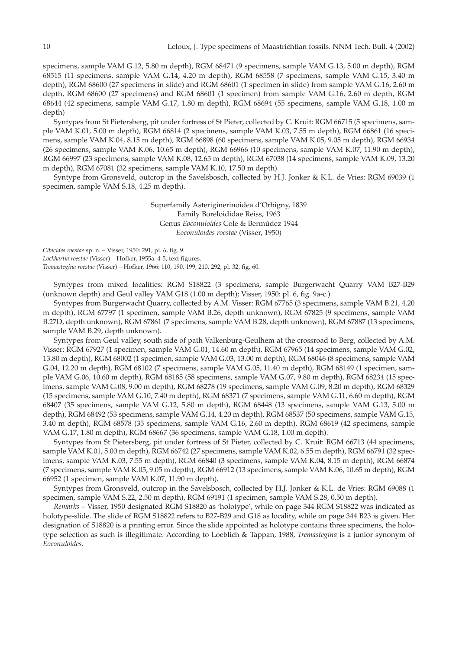specimens, sample VAM G.12, 5.80 m depth), RGM 68471 (9 specimens, sample VAM G.13, 5.00 m depth), RGM 68515 (11 specimens, sample VAM G.14, 4.20 m depth), RGM 68558 (7 specimens, sample VAM G.15, 3.40 m depth), RGM 68600 (27 specimens in slide) and RGM 68601 (1 specimen in slide) from sample VAM G.16, 2.60 m depth, RGM 68600 (27 specimens) and RGM 68601 (1 specimen) from sample VAM G.16, 2.60 m depth, RGM 68644 (42 specimens, sample VAM G.17, 1.80 m depth), RGM 68694 (55 specimens, sample VAM G.18, 1.00 m depth)

Syntypes from St Pietersberg, pit under fortress of St Pieter, collected by C. Kruit: RGM 66715 (5 specimens, sample VAM K.01, 5.00 m depth), RGM 66814 (2 specimens, sample VAM K.03, 7.55 m depth), RGM 66861 (16 specimens, sample VAM K.04, 8.15 m depth), RGM 66898 (60 specimens, sample VAM K.05, 9.05 m depth), RGM 66934 (26 specimens, sample VAM K.06, 10.65 m depth), RGM 66966 (10 specimens, sample VAM K.07, 11.90 m depth), RGM 66997 (23 specimens, sample VAM K.08, 12.65 m depth), RGM 67038 (14 specimens, sample VAM K.09, 13.20 m depth), RGM 67081 (32 specimens, sample VAM K.10, 17.50 m depth).

Syntype from Gronsveld, outcrop in the Savelsbosch, collected by H.J. Jonker & K.L. de Vries: RGM 69039 (1 specimen, sample VAM S.18, 4.25 m depth).

> Superfamily Asteriginerinoidea d'Orbigny, 1839 Family Boreloididae Reiss, 1963 Genus *Eoconuloides* Cole & Bermúdez 1944 *Eoconuloides roestae* (Visser, 1950)

*Cibicides roestae* sp. n. – Visser, 1950: 291, pl. 6, fig. 9. *Lockhartia roestae* (Visser) – Hofker, 1955a: 4-5, text figures. *Tremastegina roestae* (Visser) – Hofker, 1966: 110, 190, 199, 210, 292, pl. 32, fig. 60.

Syntypes from mixed localities: RGM S18822 (3 specimens, sample Burgerwacht Quarry VAM B27-B29 (unknown depth) and Geul valley VAM G18 (1.00 m depth); Visser, 1950: pl. 6, fig. 9a-c.)

Syntypes from Burgerwacht Quarry, collected by A.M. Visser: RGM 67765 (3 specimens, sample VAM B.21, 4.20 m depth), RGM 67797 (1 specimen, sample VAM B.26, depth unknown), RGM 67825 (9 specimens, sample VAM B.27D, depth unknown), RGM 67861 (7 specimens, sample VAM B.28, depth unknown), RGM 67887 (13 specimens, sample VAM B.29, depth unknown).

Syntypes from Geul valley, south side of path Valkenburg-Geulhem at the crossroad to Berg, collected by A.M. Visser: RGM 67927 (1 specimen, sample VAM G.01, 14.60 m depth), RGM 67965 (14 specimens, sample VAM G.02, 13.80 m depth), RGM 68002 (1 specimen, sample VAM G.03, 13.00 m depth), RGM 68046 (8 specimens, sample VAM G.04, 12.20 m depth), RGM 68102 (7 specimens, sample VAM G.05, 11.40 m depth), RGM 68149 (1 specimen, sample VAM G.06, 10.60 m depth), RGM 68185 (58 specimens, sample VAM G.07, 9.80 m depth), RGM 68234 (15 specimens, sample VAM G.08, 9.00 m depth), RGM 68278 (19 specimens, sample VAM G.09, 8.20 m depth), RGM 68329 (15 specimens, sample VAM G.10, 7.40 m depth), RGM 68371 (7 specimens, sample VAM G.11, 6.60 m depth), RGM 68407 (35 specimens, sample VAM G.12, 5.80 m depth), RGM 68448 (13 specimens, sample VAM G.13, 5.00 m depth), RGM 68492 (53 specimens, sample VAM G.14, 4.20 m depth), RGM 68537 (50 specimens, sample VAM G.15, 3.40 m depth), RGM 68578 (35 specimens, sample VAM G.16, 2.60 m depth), RGM 68619 (42 specimens, sample VAM G.17, 1.80 m depth), RGM 68667 (36 specimens, sample VAM G.18, 1.00 m depth).

Syntypes from St Pietersberg, pit under fortress of St Pieter, collected by C. Kruit: RGM 66713 (44 specimens, sample VAM K.01, 5.00 m depth), RGM 66742 (27 specimens, sample VAM K.02, 6.55 m depth), RGM 66791 (32 specimens, sample VAM K.03, 7.55 m depth), RGM 66840 (3 specimens, sample VAM K.04, 8.15 m depth), RGM 66874 (7 specimens, sample VAM K.05, 9.05 m depth), RGM 66912 (13 specimens, sample VAM K.06, 10.65 m depth), RGM 66952 (1 specimen, sample VAM K.07, 11.90 m depth).

Syntypes from Gronsveld, outcrop in the Savelsbosch, collected by H.J. Jonker & K.L. de Vries: RGM 69088 (1 specimen, sample VAM S.22, 2.50 m depth), RGM 69191 (1 specimen, sample VAM S.28, 0.50 m depth).

*Remarks* – Visser, 1950 designated RGM S18820 as 'holotype', while on page 344 RGM S18822 was indicated as holotype-slide. The slide of RGM S18822 refers to B27-B29 and G18 as locality, while on page 344 B23 is given. Her designation of S18820 is a printing error. Since the slide appointed as holotype contains three specimens, the holotype selection as such is illegitimate. According to Loeblich & Tappan, 1988, *Tremastegina* is a junior synonym of *Eoconuloides*.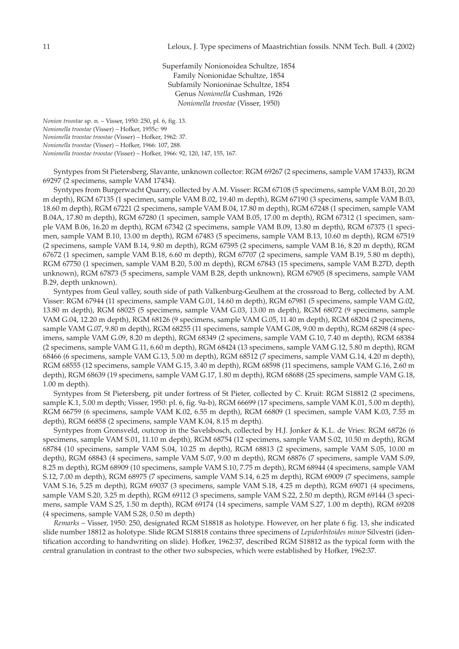Superfamily Nonionoidea Schultze, 1854 Family Nonionidae Schultze, 1854 Subfamily Nonioninae Schultze, 1854 Genus *Nonionella* Cushman, 1926 *Nonionella troostae* (Visser, 1950)

*Nonion troostae* sp. n. – Visser, 1950: 250, pl. 6, fig. 13. *Nonionella troostae* (Visser) – Hofker, 1955c: 99 *Nonionella troostae troostae* (Visser) – Hofker, 1962: 37. *Nonionella troostae* (Visser) – Hofker, 1966: 107, 288. *Nonionella troostae troostae* (Visser) – Hofker, 1966: 92, 120, 147, 155, 167.

Syntypes from St Pietersberg, Slavante, unknown collector: RGM 69267 (2 specimens, sample VAM 17433), RGM 69297 (2 specimens, sample VAM 17434).

Syntypes from Burgerwacht Quarry, collected by A.M. Visser: RGM 67108 (5 specimens, sample VAM B.01, 20.20 m depth), RGM 67135 (1 specimen, sample VAM B.02, 19.40 m depth), RGM 67190 (3 specimens, sample VAM B.03, 18.60 m depth), RGM 67221 (2 specimens, sample VAM B.04, 17.80 m depth), RGM 67248 (1 specimen, sample VAM B.04A, 17.80 m depth), RGM 67280 (1 specimen, sample VAM B.05, 17.00 m depth), RGM 67312 (1 specimen, sample VAM B.06, 16.20 m depth), RGM 67342 (2 specimens, sample VAM B.09, 13.80 m depth), RGM 67375 (1 specimen, sample VAM B.10, 13.00 m depth), RGM 67483 (5 specimens, sample VAM B.13, 10.60 m depth), RGM 67519 (2 specimens, sample VAM B.14, 9.80 m depth), RGM 67595 (2 specimens, sample VAM B.16, 8.20 m depth), RGM 67672 (1 specimen, sample VAM B.18, 6.60 m depth), RGM 67707 (2 specimens, sample VAM B.19, 5.80 m depth), RGM 67750 (1 specimen, sample VAM B.20, 5.00 m depth), RGM 67843 (15 specimens, sample VAM B.27D, depth unknown), RGM 67873 (5 specimens, sample VAM B.28, depth unknown), RGM 67905 (8 specimens, sample VAM B.29, depth unknown).

Syntypes from Geul valley, south side of path Valkenburg-Geulhem at the crossroad to Berg, collected by A.M. Visser: RGM 67944 (11 specimens, sample VAM G.01, 14.60 m depth), RGM 67981 (5 specimens, sample VAM G.02, 13.80 m depth), RGM 68025 (5 specimens, sample VAM G.03, 13.00 m depth), RGM 68072 (9 specimens, sample VAM G.04, 12.20 m depth), RGM 68126 (9 specimens, sample VAM G.05, 11.40 m depth), RGM 68204 (2 specimens, sample VAM G.07, 9.80 m depth), RGM 68255 (11 specimens, sample VAM G.08, 9.00 m depth), RGM 68298 (4 specimens, sample VAM G.09, 8.20 m depth), RGM 68349 (2 specimens, sample VAM G.10, 7.40 m depth), RGM 68384 (2 specimens, sample VAM G.11, 6.60 m depth), RGM 68424 (13 specimens, sample VAM G.12, 5.80 m depth), RGM 68466 (6 specimens, sample VAM G.13, 5.00 m depth), RGM 68512 (7 specimens, sample VAM G.14, 4.20 m depth), RGM 68555 (12 specimens, sample VAM G.15, 3.40 m depth), RGM 68598 (11 specimens, sample VAM G.16, 2.60 m depth), RGM 68639 (19 specimens, sample VAM G.17, 1.80 m depth), RGM 68688 (25 specimens, sample VAM G.18, 1.00 m depth).

Syntypes from St Pietersberg, pit under fortress of St Pieter, collected by C. Kruit: RGM S18812 (2 specimens, sample K.1, 5.00 m depth; Visser, 1950: pl. 6, fig. 9a-b), RGM 66699 (17 specimens, sample VAM K.01, 5.00 m depth), RGM 66759 (6 specimens, sample VAM K.02, 6.55 m depth), RGM 66809 (1 specimen, sample VAM K.03, 7.55 m depth), RGM 66858 (2 specimens, sample VAM K.04, 8.15 m depth).

Syntypes from Gronsveld, outcrop in the Savelsbosch, collected by H.J. Jonker & K.L. de Vries: RGM 68726 (6 specimens, sample VAM S.01, 11.10 m depth), RGM 68754 (12 specimens, sample VAM S.02, 10.50 m depth), RGM 68784 (10 specimens, sample VAM S.04, 10.25 m depth), RGM 68813 (2 specimens, sample VAM S.05, 10.00 m depth), RGM 68843 (4 specimens, sample VAM S.07, 9.00 m depth), RGM 68876 (7 specimens, sample VAM S.09, 8.25 m depth), RGM 68909 (10 specimens, sample VAM S.10, 7.75 m depth), RGM 68944 (4 specimens, sample VAM S.12, 7.00 m depth), RGM 68975 (7 specimens, sample VAM S.14, 6.25 m depth), RGM 69009 (7 specimens, sample VAM S.16, 5.25 m depth), RGM 69037 (3 specimens, sample VAM S.18, 4.25 m depth), RGM 69071 (4 specimens, sample VAM S.20, 3.25 m depth), RGM 69112 (3 specimens, sample VAM S.22, 2.50 m depth), RGM 69144 (3 specimens, sample VAM S.25, 1.50 m depth), RGM 69174 (14 specimens, sample VAM S.27, 1.00 m depth), RGM 69208 (4 specimens, sample VAM S.28, 0.50 m depth)

*Remarks* – Visser, 1950: 250, designated RGM S18818 as holotype. However, on her plate 6 fig. 13, she indicated slide number 18812 as holotype. Slide RGM S18818 contains three specimens of *Lepidorbitoides minor* Silvestri (identification according to handwriting on slide). Hofker, 1962:37, described RGM S18812 as the typical form with the central granulation in contrast to the other two subspecies, which were established by Hofker, 1962:37.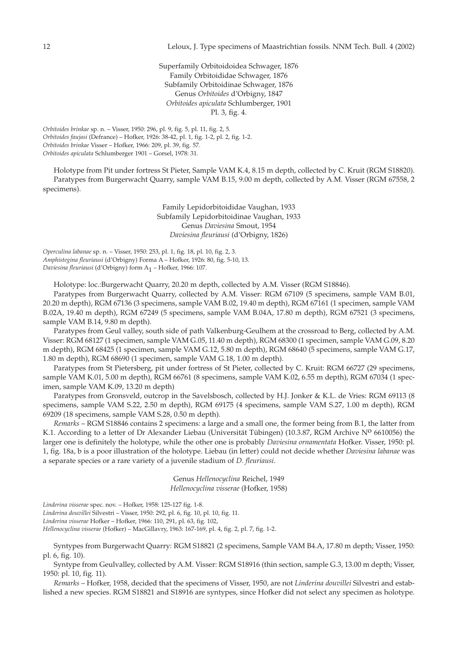Superfamily Orbitoidoidea Schwager, 1876 Family Orbitoididae Schwager, 1876 Subfamily Orbitoidinae Schwager, 1876 Genus *Orbitoides* d'Orbigny, 1847 *Orbitoides apiculata* Schlumberger, 1901 Pl. 3, fig. 4.

*Orbitoides brinkae* sp. n. – Visser, 1950: 296, pl. 9, fig. 5, pl. 11, fig. 2, 5. *Orbitoides faujasi* (Defrance) – Hofker, 1926: 38-42, pl. 1, fig. 1-2, pl. 2, fig. 1-2. *Orbitoides brinkae* Visser – Hofker, 1966: 209, pl. 39, fig. 57. *Orbitoides apiculata* Schlumberger 1901 – Gorsel, 1978: 31.

Holotype from Pit under fortress St Pieter, Sample VAM K.4, 8.15 m depth, collected by C. Kruit (RGM S18820). Paratypes from Burgerwacht Quarry, sample VAM B.15, 9.00 m depth, collected by A.M. Visser (RGM 67558, 2 specimens).

> Family Lepidorbitoididae Vaughan, 1933 Subfamily Lepidorbitoidinae Vaughan, 1933 Genus *Daviesina* Smout, 1954 *Daviesina fleuriausi* (d'Orbigny, 1826)

*Operculina labanae* sp. n. – Visser, 1950: 253, pl. 1, fig. 18, pl. 10, fig. 2, 3. *Amphistegina fleuriausi* (d'Orbigny) Forma A – Hofker, 1926: 80, fig. 5-10, 13. *Daviesina fleuriausi* (d'Orbigny) form A1 – Hofker, 1966: 107.

Holotype: loc.:Burgerwacht Quarry, 20.20 m depth, collected by A.M. Visser (RGM S18846).

Paratypes from Burgerwacht Quarry, collected by A.M. Visser: RGM 67109 (5 specimens, sample VAM B.01, 20.20 m depth), RGM 67136 (3 specimens, sample VAM B.02, 19.40 m depth), RGM 67161 (1 specimen, sample VAM B.02A, 19.40 m depth), RGM 67249 (5 specimens, sample VAM B.04A, 17.80 m depth), RGM 67521 (3 specimens, sample VAM B.14, 9.80 m depth).

Paratypes from Geul valley, south side of path Valkenburg-Geulhem at the crossroad to Berg, collected by A.M. Visser: RGM 68127 (1 specimen, sample VAM G.05, 11.40 m depth), RGM 68300 (1 specimen, sample VAM G.09, 8.20 m depth), RGM 68425 (1 specimen, sample VAM G.12, 5.80 m depth), RGM 68640 (5 specimens, sample VAM G.17, 1.80 m depth), RGM 68690 (1 specimen, sample VAM G.18, 1.00 m depth).

Paratypes from St Pietersberg, pit under fortress of St Pieter, collected by C. Kruit: RGM 66727 (29 specimens, sample VAM K.01, 5.00 m depth), RGM 66761 (8 specimens, sample VAM K.02, 6.55 m depth), RGM 67034 (1 specimen, sample VAM K.09, 13.20 m depth)

Paratypes from Gronsveld, outcrop in the Savelsbosch, collected by H.J. Jonker & K.L. de Vries: RGM 69113 (8 specimens, sample VAM S.22, 2.50 m depth), RGM 69175 (4 specimens, sample VAM S.27, 1.00 m depth), RGM 69209 (18 specimens, sample VAM S.28, 0.50 m depth).

*Remarks* – RGM S18846 contains 2 specimens: a large and a small one, the former being from B.1, the latter from K.1. According to a letter of Dr Alexander Liebau (Universität Tübingen) (10.3.87, RGM Archive  $N^0$  6610056) the larger one is definitely the holotype, while the other one is probably *Daviesina ornamentata* Hofker. Visser, 1950: pl. 1, fig. 18a, b is a poor illustration of the holotype. Liebau (in letter) could not decide whether *Daviesina labanae* was a separate species or a rare variety of a juvenile stadium of *D. fleuriausi*.

> Genus *Hellenocyclina* Reichel, 1949 *Hellenocyclina visserae* (Hofker, 1958)

*Linderina visserae* spec. nov. – Hofker, 1958: 125-127 fig. 1-8.

*Linderina douvillei* Silvestri – Visser, 1950: 292, pl. 6, fig. 10, pl. 10, fig. 11.

*Linderina visserae* Hofker – Hofker, 1966: 110, 291, pl. 63, fig. 102,

*Hellenocyclina visserae* (Hofker) – MacGillavry, 1963: 167-169, pl. 4, fig. 2, pl. 7, fig. 1-2.

Syntypes from Burgerwacht Quarry: RGM S18821 (2 specimens, Sample VAM B4.A, 17.80 m depth; Visser, 1950: pl. 6, fig. 10).

Syntype from Geulvalley, collected by A.M. Visser: RGM S18916 (thin section, sample G.3, 13.00 m depth; Visser, 1950: pl. 10, fig. 11).

*Remarks* – Hofker, 1958, decided that the specimens of Visser, 1950, are not *Linderina douvillei* Silvestri and established a new species. RGM S18821 and S18916 are syntypes, since Hofker did not select any specimen as holotype.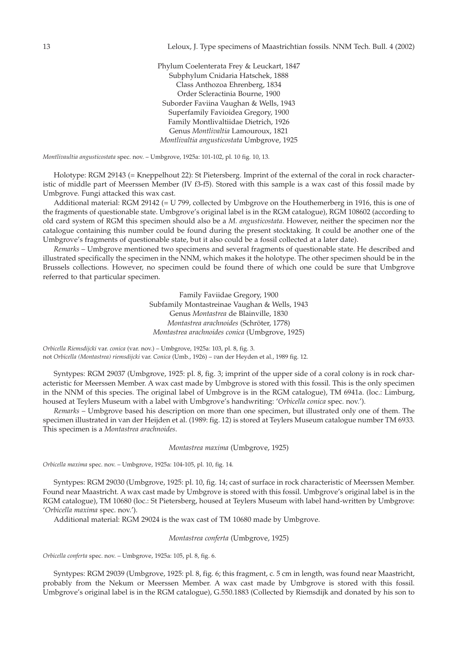Phylum Coelenterata Frey & Leuckart, 1847 Subphylum Cnidaria Hatschek, 1888 Class Anthozoa Ehrenberg, 1834 Order Scleractinia Bourne, 1900 Suborder Faviina Vaughan & Wells, 1943 Superfamily Favioidea Gregory, 1900 Family Montlivaltiidae Dietrich, 1926 Genus *Montlivaltia* Lamouroux, 1821 *Montlivaltia angusticostata* Umbgrove, 1925

*Montlivaultia angusticostata* spec. nov. – Umbgrove, 1925a: 101-102, pl. 10 fig. 10, 13.

Holotype: RGM 29143 (= Kneppelhout 22): St Pietersberg. Imprint of the external of the coral in rock characteristic of middle part of Meerssen Member (IV f3-f5). Stored with this sample is a wax cast of this fossil made by Umbgrove. Fungi attacked this wax cast.

Additional material: RGM 29142 (= U 799, collected by Umbgrove on the Houthemerberg in 1916, this is one of the fragments of questionable state. Umbgrove's original label is in the RGM catalogue), RGM 108602 (according to old card system of RGM this specimen should also be a *M. angusticostata*. However, neither the specimen nor the catalogue containing this number could be found during the present stocktaking. It could be another one of the Umbgrove's fragments of questionable state, but it also could be a fossil collected at a later date).

*Remarks* – Umbgrove mentioned two specimens and several fragments of questionable state. He described and illustrated specifically the specimen in the NNM, which makes it the holotype. The other specimen should be in the Brussels collections. However, no specimen could be found there of which one could be sure that Umbgrove referred to that particular specimen.

> Family Faviidae Gregory, 1900 Subfamily Montastreinae Vaughan & Wells, 1943 Genus *Montastrea* de Blainville, 1830 *Montastrea arachnoides* (Schröter, 1778) *Montastrea arachnoides conica* (Umbgrove, 1925)

*Orbicella Riemsdijcki* var. *conica* (var. nov.) – Umbgrove, 1925a: 103, pl. 8, fig. 3. not *Orbicella (Montastrea) riemsdijcki* var. *Conica* (Umb., 1926) – *v*an der Heyden et al., 1989 fig. 12.

Syntypes: RGM 29037 (Umbgrove, 1925: pl. 8, fig. 3; imprint of the upper side of a coral colony is in rock characteristic for Meerssen Member. A wax cast made by Umbgrove is stored with this fossil. This is the only specimen in the NNM of this species. The original label of Umbgrove is in the RGM catalogue), TM 6941a. (loc.: Limburg, housed at Teylers Museum with a label with Umbgrove's handwriting: '*Orbicella conica* spec. nov.').

*Remarks* – Umbgrove based his description on more than one specimen, but illustrated only one of them. The specimen illustrated in van der Heijden et al. (1989: fig. 12) is stored at Teylers Museum catalogue number TM 6933. This specimen is a *Montastrea arachnoides*.

*Montastrea maxima* (Umbgrove, 1925)

*Orbicella maxima* spec. nov. – Umbgrove, 1925a: 104-105, pl. 10, fig. 14.

Syntypes: RGM 29030 (Umbgrove, 1925: pl. 10, fig. 14; cast of surface in rock characteristic of Meerssen Member. Found near Maastricht. A wax cast made by Umbgrove is stored with this fossil. Umbgrove's original label is in the RGM catalogue), TM 10680 (loc.: St Pietersberg, housed at Teylers Museum with label hand-written by Umbgrove: '*Orbicella maxima* spec. nov.').

Additional material: RGM 29024 is the wax cast of TM 10680 made by Umbgrove.

*Montastrea conferta* (Umbgrove, 1925)

*Orbicella conferta* spec. nov. – Umbgrove, 1925a: 105, pl. 8, fig. 6.

Syntypes: RGM 29039 (Umbgrove, 1925: pl. 8, fig. 6; this fragment, c. 5 cm in length, was found near Maastricht, probably from the Nekum or Meerssen Member. A wax cast made by Umbgrove is stored with this fossil. Umbgrove's original label is in the RGM catalogue), G.550.1883 (Collected by Riemsdijk and donated by his son to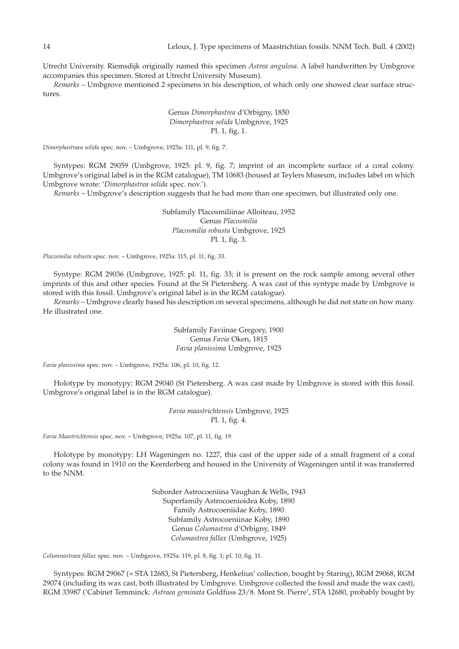Utrecht University. Riemsdijk originally named this specimen *Astrea angulosa*. A label handwritten by Umbgrove accompanies this specimen. Stored at Utrecht University Museum).

*Remarks* – Umbgrove mentioned 2 specimens in his description, of which only one showed clear surface structures.

# Genus *Dimorphastrea* d'Orbigny, 1850 *Dimorphastrea solida* Umbgrove, 1925 Pl. 1, fig. 1.

*Dimorphastraea solida* spec. nov. – Umbgrove, 1925a: 111, pl. 9, fig. 7.

Syntypes: RGM 29059 (Umbgrove, 1925: pl. 9, fig. 7; imprint of an incomplete surface of a coral colony. Umbgrove's original label is in the RGM catalogue), TM 10683 (housed at Teylers Museum, includes label on which Umbgrove wrote: '*Dimorphastrea solida* spec. nov.').

*Remarks* – Umbgrove's description suggests that he had more than one specimen, but illustrated only one.

Subfamily Placosmiliinae Alloiteau, 1952 Genus *Placosmilia Placosmilia robusta* Umbgrove, 1925 Pl. 1, fig. 3.

*Placosmilia robusta* spec. nov. – Umbgrove, 1925a: 115, pl. 11, fig. 33.

Syntype: RGM 29036 (Umbgrove, 1925: pl. 11, fig. 33; it is present on the rock sample among several other imprints of this and other species. Found at the St Pietersberg. A wax cast of this syntype made by Umbgrove is stored with this fossil. Umbgrove's original label is in the RGM catalogue).

*Remarks* – Umbgrove clearly based his description on several specimens, although he did not state on how many. He illustrated one.

> Subfamily Faviinae Gregory, 1900 Genus *Favia* Oken, 1815 *Favia planissima* Umbgrove, 1925

*Favia planissima* spec. nov. – Umbgrove, 1925a: 106, pl. 10, fig. 12.

Holotype by monotypy: RGM 29040 (St Pietersberg. A wax cast made by Umbgrove is stored with this fossil. Umbgrove's original label is in the RGM catalogue).

> *Favia maastrichtensis* Umbgrove, 1925 Pl. 1, fig. 4.

*Favia Maastrichtensis* spec. nov. – Umbgrove, 1925a: 107, pl. 11, fig. 19.

Holotype by monotypy: LH Wageningen no. 1227, this cast of the upper side of a small fragment of a coral colony was found in 1910 on the Keerderberg and housed in the University of Wageningen until it was transferred to the NNM.

> Suborder Astrocoeniina Vaughan & Wells, 1943 Superfamily Astrocoenioidea Koby, 1890 Family Astrocoeniidae Koby, 1890 Subfamily Astrocoeniinae Koby, 1890 Genus *Columastrea* d'Orbigny, 1849 *Columastrea fallax* (Umbgrove, 1925)

*Columnastraea fallax* spec. nov. – Umbgrove, 1925a: 119, pl. 8, fig. 1; pl. 10, fig. 11.

Syntypes: RGM 29067 (= STA 12683, St Pietersberg, Henkelius' collection, bought by Staring), RGM 29068, RGM 29074 (including its wax cast, both illustrated by Umbgrove. Umbgrove collected the fossil and made the wax cast), RGM 33987 ('Cabinet Temminck*: Astraea geminata* Goldfuss 23/8. Mont St. Pierre', STA 12680, probably bought by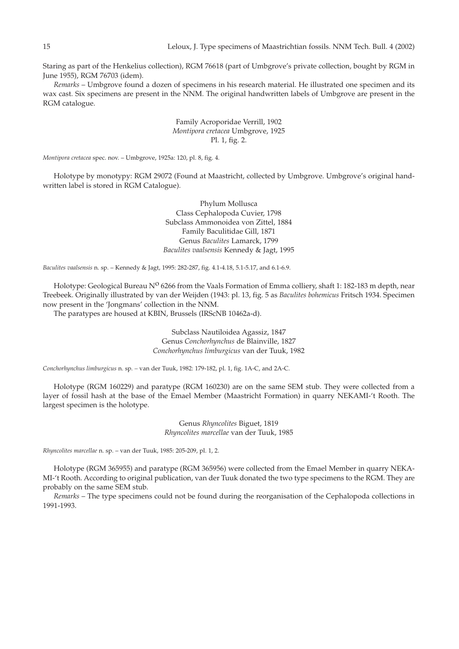Staring as part of the Henkelius collection), RGM 76618 (part of Umbgrove's private collection, bought by RGM in June 1955), RGM 76703 (idem).

*Remarks* – Umbgrove found a dozen of specimens in his research material. He illustrated one specimen and its wax cast. Six specimens are present in the NNM. The original handwritten labels of Umbgrove are present in the RGM catalogue.

# Family Acroporidae Verrill, 1902 *Montipora cretacea* Umbgrove, 1925 Pl. 1, fig. 2.

*Montipora cretacea* spec. nov. – Umbgrove, 1925a: 120, pl. 8, fig. 4.

Holotype by monotypy: RGM 29072 (Found at Maastricht, collected by Umbgrove. Umbgrove's original handwritten label is stored in RGM Catalogue).

> Phylum Mollusca Class Cephalopoda Cuvier, 1798 Subclass Ammonoidea von Zittel, 1884 Family Baculitidae Gill, 1871 Genus *Baculites* Lamarck, 1799 *Baculites vaalsensis* Kennedy & Jagt, 1995

*Baculites vaalsensis* n. sp. – Kennedy & Jagt, 1995: 282-287, fig. 4.1-4.18, 5.1-5.17, and 6.1-6.9.

Holotype: Geological Bureau N<sup>o</sup> 6266 from the Vaals Formation of Emma colliery, shaft 1: 182-183 m depth, near Treebeek. Originally illustrated by van der Weijden (1943: pl. 13, fig. 5 as *Baculites bohemicus* Fritsch 1934. Specimen now present in the 'Jongmans' collection in the NNM.

The paratypes are housed at KBIN, Brussels (IRScNB 10462a-d).

Subclass Nautiloidea Agassiz, 1847 Genus *Conchorhynchus* de Blainville, 1827 *Conchorhynchus limburgicus* van der Tuuk, 1982

*Conchorhynchus limburgicus* n. sp*. –* van der Tuuk, 1982: 179-182, pl. 1, fig. 1A-C, and 2A-C.

Holotype (RGM 160229) and paratype (RGM 160230) are on the same SEM stub. They were collected from a layer of fossil hash at the base of the Emael Member (Maastricht Formation) in quarry NEKAMI-'t Rooth. The largest specimen is the holotype.

> Genus *Rhyncolites* Biguet, 1819 *Rhyncolites marcellae* van der Tuuk, 1985

*Rhyncolites marcellae* n. sp. – van der Tuuk, 1985: 205-209, pl. 1, 2.

Holotype (RGM 365955) and paratype (RGM 365956) were collected from the Emael Member in quarry NEKA-MI-'t Rooth. According to original publication, van der Tuuk donated the two type specimens to the RGM. They are probably on the same SEM stub.

*Remarks* – The type specimens could not be found during the reorganisation of the Cephalopoda collections in 1991-1993.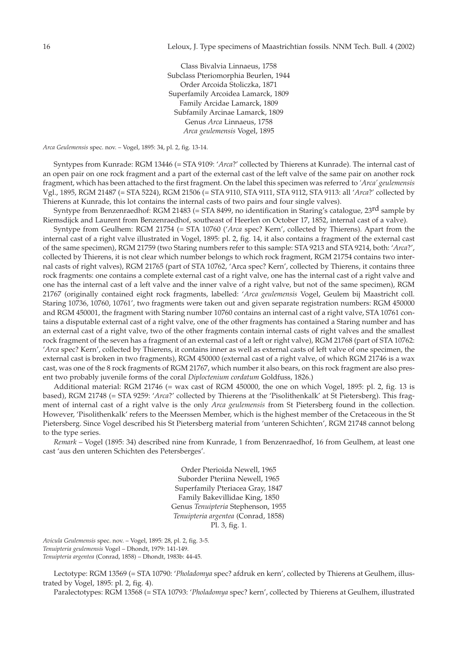Class Bivalvia Linnaeus, 1758 Subclass Pteriomorphia Beurlen, 1944 Order Arcoida Stoliczka, 1871 Superfamily Arcoidea Lamarck, 1809 Family Arcidae Lamarck, 1809 Subfamily Arcinae Lamarck, 1809 Genus *Arca* Linnaeus, 1758 *Arca geulemensis* Vogel, 1895

*Arca Geulemensis* spec. nov. – Vogel, 1895: 34, pl. 2, fig. 13-14.

Syntypes from Kunrade: RGM 13446 (= STA 9109: '*Arca*?' collected by Thierens at Kunrade). The internal cast of an open pair on one rock fragment and a part of the external cast of the left valve of the same pair on another rock fragment, which has been attached to the first fragment. On the label this specimen was referred to *'Arca' geulemensis* Vgl., 1895, RGM 21487 (= STA 5224), RGM 21506 (= STA 9110, STA 9111, STA 9112, STA 9113: all '*Arca*?' collected by Thierens at Kunrade, this lot contains the internal casts of two pairs and four single valves).

Syntype from Benzenraedhof: RGM 21483 (= STA 8499, no identification in Staring's catalogue, 23<sup>rd</sup> sample by Riemsdijck and Laurent from Benzenraedhof, southeast of Heerlen on October 17, 1852, internal cast of a valve).

Syntype from Geulhem: RGM 21754 (= STA 10760 ('*Arca* spec? Kern', collected by Thierens). Apart from the internal cast of a right valve illustrated in Vogel, 1895: pl. 2, fig. 14, it also contains a fragment of the external cast of the same specimen), RGM 21759 (two Staring numbers refer to this sample: STA 9213 and STA 9214, both: '*Arca*?', collected by Thierens, it is not clear which number belongs to which rock fragment, RGM 21754 contains two internal casts of right valves), RGM 21765 (part of STA 10762, 'Arca spec? Kern', collected by Thierens, it contains three rock fragments: one contains a complete external cast of a right valve, one has the internal cast of a right valve and one has the internal cast of a left valve and the inner valve of a right valve, but not of the same specimen), RGM 21767 (originally contained eight rock fragments, labelled: '*Arca geulemensis* Vogel, Geulem bij Maastricht coll. Staring 10736, 10760, 10761', two fragments were taken out and given separate registration numbers: RGM 450000 and RGM 450001, the fragment with Staring number 10760 contains an internal cast of a right valve, STA 10761 contains a disputable external cast of a right valve, one of the other fragments has contained a Staring number and has an external cast of a right valve, two of the other fragments contain internal casts of right valves and the smallest rock fragment of the seven has a fragment of an external cast of a left or right valve), RGM 21768 (part of STA 10762: '*Arca* spec? Kern', collected by Thierens, it contains inner as well as external casts of left valve of one specimen, the external cast is broken in two fragments), RGM 450000 (external cast of a right valve, of which RGM 21746 is a wax cast, was one of the 8 rock fragments of RGM 21767, which number it also bears, on this rock fragment are also present two probably juvenile forms of the coral *Diploctenium cordatum* Goldfuss, 1826.)

Additional material: RGM 21746 (= wax cast of RGM 450000, the one on which Vogel, 1895: pl. 2, fig. 13 is based), RGM 21748 (= STA 9259: '*Arca*?' collected by Thierens at the 'Pisolithenkalk' at St Pietersberg). This fragment of internal cast of a right valve is the only *Arca geulemensis* from St Pietersberg found in the collection. However, 'Pisolithenkalk' refers to the Meerssen Member, which is the highest member of the Cretaceous in the St Pietersberg. Since Vogel described his St Pietersberg material from 'unteren Schichten', RGM 21748 cannot belong to the type series.

*Remark* – Vogel (1895: 34) described nine from Kunrade, 1 from Benzenraedhof, 16 from Geulhem, at least one cast 'aus den unteren Schichten des Petersberges'.

> Order Pterioida Newell, 1965 Suborder Pteriina Newell, 1965 Superfamily Pteriacea Gray, 1847 Family Bakevillidae King, 1850 Genus *Tenuipteria* Stephenson, 1955 *Tenuipteria argentea* (Conrad, 1858) Pl. 3, fig. 1.

*Avicula Geulemensis* spec. nov. – Vogel, 1895: 28, pl. 2, fig. 3-5. *Tenuipteria geulemensis* Vogel – Dhondt, 1979: 141-149. *Tenuipteria argentea* (Conrad, 1858) – Dhondt, 1983b: 44-45.

Lectotype: RGM 13569 (= STA 10790: '*Pholadomya* spec? afdruk en kern', collected by Thierens at Geulhem, illustrated by Vogel, 1895: pl. 2, fig. 4).

Paralectotypes: RGM 13568 (= STA 10793: '*Pholadomya* spec? kern', collected by Thierens at Geulhem, illustrated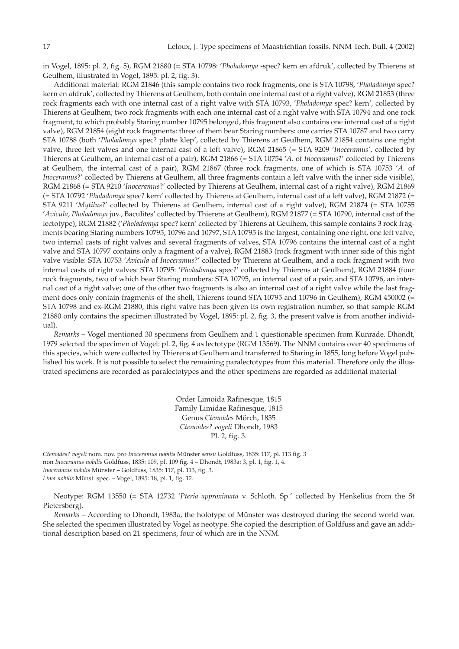in Vogel, 1895: pl. 2, fig. 5), RGM 21880 (= STA 10798: '*Pholadomya* -spec? kern en afdruk', collected by Thierens at Geulhem, illustrated in Vogel, 1895: pl. 2, fig. 3).

Additional material: RGM 21846 (this sample contains two rock fragments, one is STA 10798, '*Pholadomya* spec? kern en afdruk', collected by Thierens at Geulhem, both contain one internal cast of a right valve), RGM 21853 (three rock fragments each with one internal cast of a right valve with STA 10793, '*Pholadomya* spec? kern', collected by Thierens at Geulhem; two rock fragments with each one internal cast of a right valve with STA 10794 and one rock fragment, to which probably Staring number 10795 belonged, this fragment also contains one internal cast of a right valve), RGM 21854 (eight rock fragments: three of them bear Staring numbers: one carries STA 10787 and two carry STA 10788 (both '*Pholadomya* spec? platte klep', collected by Thierens at Geulhem, RGM 21854 contains one right valve, three left valves and one internal cast of a left valve), RGM 21865 (= STA 9209 '*Inoceramus'*, collected by Thierens at Geulhem, an internal cast of a pair), RGM 21866 (= STA 10754 '*A*. of *Inoceramus*?' collected by Thierens at Geulhem, the internal cast of a pair), RGM 21867 (three rock fragments, one of which is STA 10753 '*A.* of *Inoceramus*?' collected by Thierens at Geulhem, all three fragments contain a left valve with the inner side visible), RGM 21868 (= STA 9210 '*Inoceramus*?' collected by Thierens at Geulhem, internal cast of a right valve), RGM 21869 (= STA 10792 '*Pholadomya* spec? kern' collected by Thierens at Geulhem, internal cast of a left valve), RGM 21872 (= STA 9211 '*Mytilus*?' collected by Thierens at Geulhem, internal cast of a right valve), RGM 21874 (= STA 10755 '*Avicula*, *Pholadomya* juv., Baculites' collected by Thierens at Geulhem), RGM 21877 (= STA 10790, internal cast of the lectotype), RGM 21882 ('*Pholadomya* spec? kern' collected by Thierens at Geulhem, this sample contains 3 rock fragments bearing Staring numbers 10795, 10796 and 10797, STA 10795 is the largest, containing one right, one left valve, two internal casts of right valves and several fragments of valves, STA 10796 contains the internal cast of a right valve and STA 10797 contains only a fragment of a valve), RGM 21883 (rock fragment with inner side of this right valve visible: STA 10753 '*Avicula* of *Inoceramus*?' collected by Thierens at Geulhem, and a rock fragment with two internal casts of right valves: STA 10795: '*Pholadomya* spec?' collected by Thierens at Geulhem), RGM 21884 (four rock fragments, two of which bear Staring numbers: STA 10795, an internal cast of a pair, and STA 10796, an internal cast of a right valve; one of the other two fragments is also an internal cast of a right valve while the last fragment does only contain fragments of the shell, Thierens found STA 10795 and 10796 in Geulhem), RGM 450002 (= STA 10798 and ex-RGM 21880, this right valve has been given its own registration number, so that sample RGM 21880 only contains the specimen illustrated by Vogel, 1895: pl. 2, fig. 3, the present valve is from another individual).

*Remarks* – Vogel mentioned 30 specimens from Geulhem and 1 questionable specimen from Kunrade. Dhondt, 1979 selected the specimen of Vogel: pl. 2, fig. 4 as lectotype (RGM 13569). The NNM contains over 40 specimens of this species, which were collected by Thierens at Geulhem and transferred to Staring in 1855, long before Vogel published his work. It is not possible to select the remaining paralectotypes from this material. Therefore only the illustrated specimens are recorded as paralectotypes and the other specimens are regarded as additional material

> Order Limoida Rafinesque, 1815 Family Limidae Rafinesque, 1815 Genus *Ctenoides* Mörch, 1835 *Ctenoides? vogeli* Dhondt, 1983 Pl. 2, fig. 3.

*Ctenoides? vogeli* nom. nov. pro *Inoceramus nobilis* Münster *sensu* Goldfuss, 1835: 117, pl. 113 fig. 3 non *Inoceramus nobilis* Goldfuss, 1835: 109, pl. 109 fig. 4 – Dhondt, 1983a: 3, pl. 1, fig. 1, 4. *Inoceramus nobilis* Münster – Goldfuss, 1835: 117, pl. 113, fig. 3. *Lima nobilis* Münst. spec. – Vogel, 1895: 18, pl. 1, fig. 12.

Neotype: RGM 13550 (= STA 12732 '*Pteria approximata* v. Schloth. Sp.' collected by Henkelius from the St Pietersberg).

*Remarks* – According to Dhondt, 1983a, the holotype of Münster was destroyed during the second world war. She selected the specimen illustrated by Vogel as neotype. She copied the description of Goldfuss and gave an additional description based on 21 specimens, four of which are in the NNM.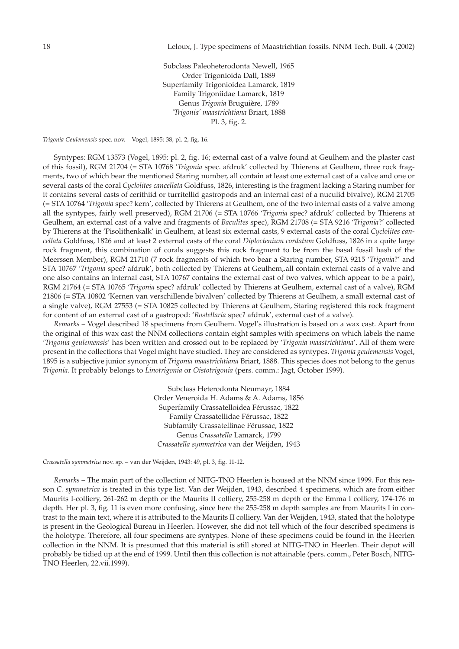Subclass Paleoheterodonta Newell, 1965 Order Trigonioida Dall, 1889 Superfamily Trigonioidea Lamarck, 1819 Family Trigoniidae Lamarck, 1819 Genus *Trigonia* Bruguière, 1789 *'Trigonia' maastrichtiana* Briart, 1888 Pl. 3, fig. 2.

*Trigonia Geulemensis* spec. nov. – Vogel, 1895: 38, pl. 2, fig. 16.

Syntypes: RGM 13573 (Vogel, 1895: pl. 2, fig. 16; external cast of a valve found at Geulhem and the plaster cast of this fossil), RGM 21704 (= STA 10768 '*Trigonia* spec. afdruk' collected by Thierens at Geulhem, three rock fragments, two of which bear the mentioned Staring number, all contain at least one external cast of a valve and one or several casts of the coral *Cyclolites cancellata* Goldfuss, 1826, interesting is the fragment lacking a Staring number for it contains several casts of cerithiid or turritellid gastropods and an internal cast of a nuculid bivalve), RGM 21705 (= STA 10764 '*Trigonia* spec? kern', collected by Thierens at Geulhem, one of the two internal casts of a valve among all the syntypes, fairly well preserved), RGM 21706 (= STA 10766 '*Trigonia* spec? afdruk' collected by Thierens at Geulhem, an external cast of a valve and fragments of *Baculites* spec), RGM 21708 (= STA 9216 '*Trigonia*?' collected by Thierens at the 'Pisolithenkalk' in Geulhem, at least six external casts, 9 external casts of the coral *Cyclolites cancellata* Goldfuss, 1826 and at least 2 external casts of the coral *Diploctenium cordatum* Goldfuss, 1826 in a quite large rock fragment, this combination of corals suggests this rock fragment to be from the basal fossil hash of the Meerssen Member), RGM 21710 (7 rock fragments of which two bear a Staring number, STA 9215 '*Trigonia*?' and STA 10767 '*Trigonia* spec? afdruk', both collected by Thierens at Geulhem,.all contain external casts of a valve and one also contains an internal cast, STA 10767 contains the external cast of two valves, which appear to be a pair), RGM 21764 (= STA 10765 '*Trigonia* spec? afdruk' collected by Thierens at Geulhem, external cast of a valve), RGM 21806 (= STA 10802 'Kernen van verschillende bivalven' collected by Thierens at Geulhem, a small external cast of a single valve), RGM 27553 (= STA 10825 collected by Thierens at Geulhem, Staring registered this rock fragment for content of an external cast of a gastropod: '*Rostellaria* spec? afdruk', external cast of a valve).

*Remarks* – Vogel described 18 specimens from Geulhem. Vogel's illustration is based on a wax cast. Apart from the original of this wax cast the NNM collections contain eight samples with specimens on which labels the name '*Trigonia geulemensis*' has been written and crossed out to be replaced by '*Trigonia maastrichtiana*'. All of them were present in the collections that Vogel might have studied. They are considered as syntypes. *Trigonia geulemensis* Vogel, 1895 is a subjective junior synonym of *Trigonia maastrichtiana* Briart, 1888. This species does not belong to the genus *Trigonia*. It probably belongs to *Linotrigonia* or *Oistotrigonia* (pers. comm.: Jagt, October 1999).

> Subclass Heterodonta Neumayr, 1884 Order Veneroida H. Adams & A. Adams, 1856 Superfamily Crassatelloidea Férussac, 1822 Family Crassatellidae Férussac, 1822 Subfamily Crassatellinae Férussac, 1822 Genus *Crassatella* Lamarck, 1799 *Crassatella symmetrica* van der Weijden, 1943

*Crassatella symmetrica* nov. sp. – van der Weijden, 1943: 49, pl. 3, fig. 11-12.

*Remarks* – The main part of the collection of NITG-TNO Heerlen is housed at the NNM since 1999. For this reason *C. symmetrica* is treated in this type list. Van der Weijden, 1943, described 4 specimens, which are from either Maurits I-colliery, 261-262 m depth or the Maurits II colliery, 255-258 m depth or the Emma I colliery, 174-176 m depth. Her pl. 3, fig. 11 is even more confusing, since here the 255-258 m depth samples are from Maurits I in contrast to the main text, where it is attributed to the Maurits II colliery. Van der Weijden, 1943, stated that the holotype is present in the Geological Bureau in Heerlen. However, she did not tell which of the four described specimens is the holotype. Therefore, all four specimens are syntypes. None of these specimens could be found in the Heerlen collection in the NNM. It is presumed that this material is still stored at NITG-TNO in Heerlen. Their depot will probably be tidied up at the end of 1999. Until then this collection is not attainable (pers. comm., Peter Bosch, NITG-TNO Heerlen, 22.vii.1999).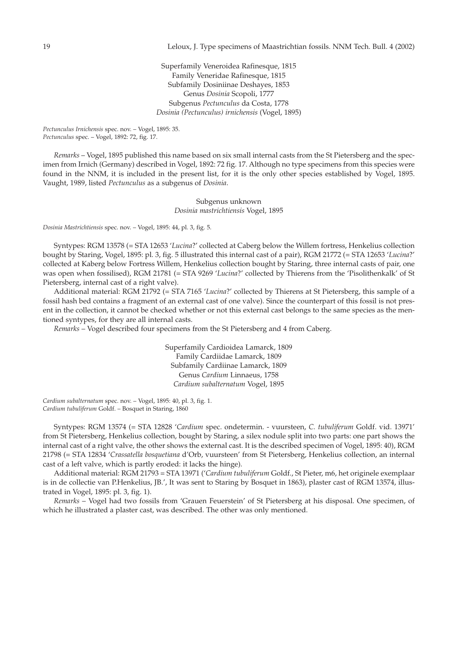Superfamily Veneroidea Rafinesque, 1815 Family Veneridae Rafinesque, 1815 Subfamily Dosiniinae Deshayes, 1853 Genus *Dosinia* Scopoli, 1777 Subgenus *Pectunculus* da Costa, 1778 *Dosinia (Pectunculus) irnichensis* (Vogel, 1895)

*Pectunculus Irnichensis* spec. nov. – Vogel, 1895: 35. *Pectunculus* spec. – Vogel, 1892: 72, fig. 17.

*Remarks* – Vogel, 1895 published this name based on six small internal casts from the St Pietersberg and the specimen from Irnich (Germany) described in Vogel, 1892: 72 fig. 17. Although no type specimens from this species were found in the NNM, it is included in the present list, for it is the only other species established by Vogel, 1895. Vaught, 1989, listed *Pectunculus* as a subgenus of *Dosinia*.

> Subgenus unknown *Dosinia mastrichtiensis* Vogel, 1895

*Dosinia Mastrichtiensis* spec. nov. – Vogel, 1895: 44, pl. 3, fig. 5.

Syntypes: RGM 13578 (= STA 12653 '*Lucina*?' collected at Caberg below the Willem fortress, Henkelius collection bought by Staring, Vogel, 1895: pl. 3, fig. 5 illustrated this internal cast of a pair), RGM 21772 (= STA 12653 '*Lucina*?' collected at Kaberg below Fortress Willem, Henkelius collection bought by Staring, three internal casts of pair, one was open when fossilised), RGM 21781 (= STA 9269 '*Lucina*?' collected by Thierens from the 'Pisolithenkalk' of St Pietersberg, internal cast of a right valve).

Additional material: RGM 21792 (= STA 7165 '*Lucina*?' collected by Thierens at St Pietersberg, this sample of a fossil hash bed contains a fragment of an external cast of one valve). Since the counterpart of this fossil is not present in the collection, it cannot be checked whether or not this external cast belongs to the same species as the mentioned syntypes, for they are all internal casts.

*Remarks* – Vogel described four specimens from the St Pietersberg and 4 from Caberg.

Superfamily Cardioidea Lamarck, 1809 Family Cardiidae Lamarck, 1809 Subfamily Cardiinae Lamarck, 1809 Genus *Cardium* Linnaeus, 1758 *Cardium subalternatum* Vogel, 1895

*Cardium subalternatum* spec. nov. – Vogel, 1895: 40, pl. 3, fig. 1. *Cardium tubuliferum* Goldf. – Bosquet in Staring, 1860

Syntypes: RGM 13574 (= STA 12828 '*Cardium* spec. ondetermin. - vuursteen, *C. tubuliferum* Goldf. vid. 13971' from St Pietersberg, Henkelius collection, bought by Staring, a silex nodule split into two parts: one part shows the internal cast of a right valve, the other shows the external cast. It is the described specimen of Vogel, 1895: 40), RGM 21798 (= STA 12834 '*Crassatella bosquetiana* d'Orb, vuursteen' from St Pietersberg, Henkelius collection, an internal cast of a left valve, which is partly eroded: it lacks the hinge).

Additional material: RGM 21793 = STA 13971 ('*Cardium tubuliferum* Goldf., St Pieter, m6, het originele exemplaar is in de collectie van P.Henkelius, JB.', It was sent to Staring by Bosquet in 1863), plaster cast of RGM 13574, illustrated in Vogel, 1895: pl. 3, fig. 1).

*Remarks* – Vogel had two fossils from 'Grauen Feuerstein' of St Pietersberg at his disposal. One specimen, of which he illustrated a plaster cast, was described. The other was only mentioned.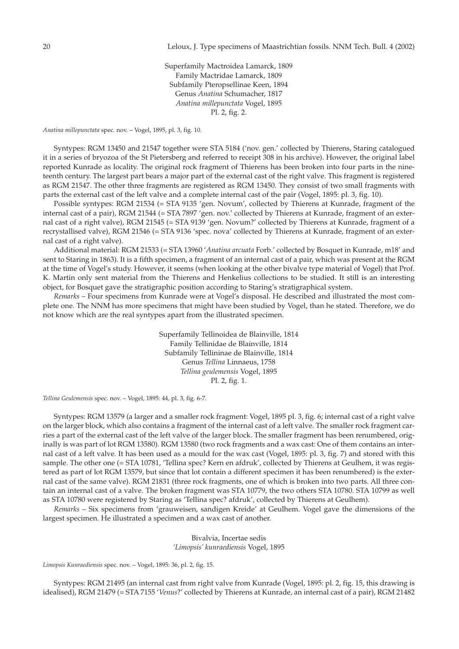Superfamily Mactroidea Lamarck, 1809 Family Mactridae Lamarck, 1809 Subfamily Pteropsellinae Keen, 1894 Genus *Anatina* Schumacher, 1817 *Anatina millepunctata* Vogel, 1895 Pl. 2, fig. 2.

*Anatina millepunctata* spec. nov. – Vogel, 1895, pl. 3, fig. 10.

Syntypes: RGM 13450 and 21547 together were STA 5184 ('nov. gen.' collected by Thierens, Staring catalogued it in a series of bryozoa of the St Pietersberg and referred to receipt 308 in his archive). However, the original label reported Kunrade as locality. The original rock fragment of Thierens has been broken into four parts in the nineteenth century. The largest part bears a major part of the external cast of the right valve. This fragment is registered as RGM 21547. The other three fragments are registered as RGM 13450. They consist of two small fragments with parts the external cast of the left valve and a complete internal cast of the pair (Vogel, 1895: pl. 3, fig. 10).

Possible syntypes: RGM 21534 (= STA 9135 'gen. Novum', collected by Thierens at Kunrade, fragment of the internal cast of a pair), RGM 21544 (= STA 7897 'gen. nov.' collected by Thierens at Kunrade, fragment of an external cast of a right valve), RGM 21545 (= STA 9139 'gen. Novum?' collected by Thierens at Kunrade, fragment of a recrystallised valve), RGM 21546 (= STA 9136 'spec. nova' collected by Thierens at Kunrade, fragment of an external cast of a right valve).

Additional material: RGM 21533 (= STA 13960 '*Anatina arcuata* Forb.' collected by Bosquet in Kunrade, m18' and sent to Staring in 1863). It is a fifth specimen, a fragment of an internal cast of a pair, which was present at the RGM at the time of Vogel's study. However, it seems (when looking at the other bivalve type material of Vogel) that Prof. K. Martin only sent material from the Thierens and Henkelius collections to be studied. It still is an interesting object, for Bosquet gave the stratigraphic position according to Staring's stratigraphical system.

*Remarks* – Four specimens from Kunrade were at Vogel's disposal. He described and illustrated the most complete one. The NNM has more specimens that might have been studied by Vogel, than he stated. Therefore, we do not know which are the real syntypes apart from the illustrated specimen.

> Superfamily Tellinoidea de Blainville, 1814 Family Tellinidae de Blainville, 1814 Subfamily Tellininae de Blainville, 1814 Genus *Tellina* Linnaeus, 1758 *Tellina geulemensis* Vogel, 1895 Pl. 2, fig. 1.

*Tellina Geulemensis* spec. nov. – Vogel, 1895: 44, pl. 3, fig. 6-7.

Syntypes: RGM 13579 (a larger and a smaller rock fragment: Vogel, 1895 pl. 3, fig. 6; internal cast of a right valve on the larger block, which also contains a fragment of the internal cast of a left valve. The smaller rock fragment carries a part of the external cast of the left valve of the larger block. The smaller fragment has been renumbered, originally is was part of lot RGM 13580). RGM 13580 (two rock fragments and a wax cast: One of them contains an internal cast of a left valve. It has been used as a mould for the wax cast (Vogel, 1895: pl. 3, fig. 7) and stored with this sample. The other one (= STA 10781, 'Tellina spec? Kern en afdruk', collected by Thierens at Geulhem, it was registered as part of lot RGM 13579, but since that lot contain a different specimen it has been renumbered) is the external cast of the same valve). RGM 21831 (three rock fragments, one of which is broken into two parts. All three contain an internal cast of a valve. The broken fragment was STA 10779, the two others STA 10780. STA 10799 as well as STA 10780 were registered by Staring as 'Tellina spec? afdruk', collected by Thierens at Geulhem).

*Remarks* – Six specimens from 'grauweisen, sandigen Kreide' at Geulhem. Vogel gave the dimensions of the largest specimen. He illustrated a specimen and a wax cast of another.

> Bivalvia, Incertae sedis *'Limopsis' kunraediensis* Vogel, 1895

*Limopsis Kunraediensis* spec. nov. – Vogel, 1895: 36, pl. 2, fig. 15.

Syntypes: RGM 21495 (an internal cast from right valve from Kunrade (Vogel, 1895: pl. 2, fig. 15, this drawing is idealised), RGM 21479 (= STA 7155 '*Venus*?' collected by Thierens at Kunrade, an internal cast of a pair), RGM 21482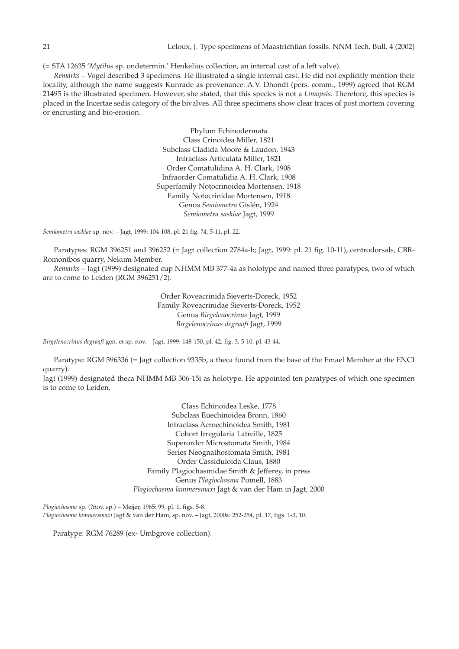(= STA 12635 '*Mytilus* sp. ondetermin.' Henkelius collection, an internal cast of a left valve).

*Remarks* – Vogel described 3 specimens. He illustrated a single internal cast. He did not explicitly mention their locality, although the name suggests Kunrade as provenance. A.V. Dhondt (pers. comm., 1999) agreed that RGM 21495 is the illustrated specimen. However, she stated, that this species is not a *Limopsis*. Therefore, this species is placed in the Incertae sedis category of the bivalves. All three specimens show clear traces of post mortem covering or encrusting and bio-erosion.

> Phylum Echinodermata Class Crinoidea Miller, 1821 Subclass Cladida Moore & Laudon, 1943 Infraclass Articulata Miller, 1821 Order Comatulidina A. H. Clark, 1908 Infraorder Comatulidia A. H. Clark, 1908 Superfamily Notocrinoidea Mortensen, 1918 Family Notocrinidae Mortensen, 1918 Genus *Semiometra* Gislén, 1924 *Semiometra saskiae* Jagt, 1999

*Semiometra saskiae* sp. nov. – Jagt, 1999: 104-108, pl. 21 fig. ?4, 5-11, pl. 22.

Paratypes: RGM 396251 and 396252 (= Jagt collection 2784a-b; Jagt, 1999: pl. 21 fig. 10-11), centrodorsals, CBR-Romontbos quarry, Nekum Member.

*Remarks* – Jagt (1999) designated cup NHMM MB 377-4a as holotype and named three paratypes, two of which are to come to Leiden (RGM 396251/2).

> Order Roveacrinida Sieverts-Doreck, 1952 Family Roveacrinidae Sieverts-Doreck, 1952 Genus *Birgelenocrinus* Jagt, 1999 *Birgelenocrinus degraafi* Jagt, 1999

*Birgelenocrinus degraafi* gen. et sp. nov. – Jagt, 1999: 148-150, pl. 42, fig. 3, 5-10, pl. 43-44.

Paratype: RGM 396336 (= Jagt collection 9335b, a theca found from the base of the Emael Member at the ENCI quarry).

Jagt (1999) designated theca NHMM MB 506-15i as holotype. He appointed ten paratypes of which one specimen is to come to Leiden.

> Class Echinoidea Leske, 1778 Subclass Euechinoidea Bronn, 1860 Infraclass Acroechinoidea Smith, 1981 Cohort Irregularia Latreille, 1825 Superorder Microstomata Smith, 1984 Series Neognathostomata Smith, 1981 Order Cassiduloida Claus, 1880 Family Plagiochasmidae Smith & Jefferey, in press Genus *Plagiochasma* Pomell, 1883 *Plagiochasma lammersmaxi* Jagt & van der Ham in Jagt, 2000

*Plagiochasma* sp. (?nov. sp.) – Meijer, 1965: 99, pl. 1, figs. 5-8. *Plagiochasma lammersmaxi* Jagt & van der Ham, sp. nov. – Jagt, 2000a: 252-254, pl. 17, figs. 1-3, 10.

Paratype: RGM 76289 (ex- Umbgrove collection).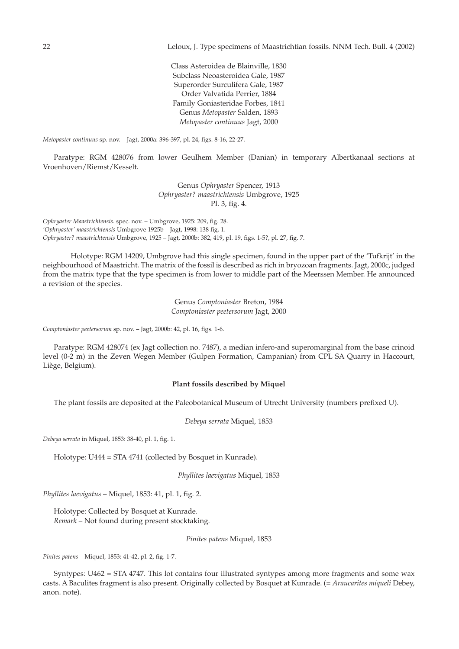Class Asteroidea de Blainville, 1830 Subclass Neoasteroidea Gale, 1987 Superorder Surculifera Gale, 1987 Order Valvatida Perrier, 1884 Family Goniasteridae Forbes, 1841 Genus *Metopaster* Salden, 1893 *Metopaster continuus* Jagt, 2000

*Metopaster continuus* sp. nov. – Jagt, 2000a: 396-397, pl. 24, figs. 8-16, 22-27.

Paratype: RGM 428076 from lower Geulhem Member (Danian) in temporary Albertkanaal sections at Vroenhoven/Riemst/Kesselt.

> Genus *Ophryaster* Spencer, 1913 *Ophryaster? maastrichtensis* Umbgrove, 1925 Pl. 3, fig. 4.

*Ophryaster Maastrichtensis*. spec. nov. – Umbgrove, 1925: 209, fig. 28. *'Ophryaster' maastrichtensis* Umbgrove 1925b – Jagt, 1998: 138 fig. 1. *Ophryaster? maastrichtensis* Umbgrove, 1925 – Jagt, 2000b: 382, 419, pl. 19, figs. 1-5?, pl. 27, fig. 7.

Holotype: RGM 14209, Umbgrove had this single specimen, found in the upper part of the 'Tufkrijt' in the neighbourhood of Maastricht. The matrix of the fossil is described as rich in bryozoan fragments. Jagt, 2000c, judged from the matrix type that the type specimen is from lower to middle part of the Meerssen Member. He announced a revision of the species.

> Genus *Comptoniaster* Breton, 1984 *Comptoniaster peetersorum* Jagt, 2000

*Comptoniaster peetersorum* sp. nov. – Jagt, 2000b: 42, pl. 16, figs. 1-6.

Paratype: RGM 428074 (ex Jagt collection no. 7487), a median infero-and superomarginal from the base crinoid level (0-2 m) in the Zeven Wegen Member (Gulpen Formation, Campanian) from CPL SA Quarry in Haccourt, Liège, Belgium).

## **Plant fossils described by Miquel**

The plant fossils are deposited at the Paleobotanical Museum of Utrecht University (numbers prefixed U).

*Debeya serrata* Miquel, 1853

*Debeya serrata* in Miquel, 1853: 38-40, pl. 1, fig. 1.

Holotype: U444 = STA 4741 (collected by Bosquet in Kunrade).

*Phyllites laevigatus* Miquel, 1853

*Phyllites laevigatus* – Miquel, 1853: 41, pl. 1, fig. 2.

Holotype: Collected by Bosquet at Kunrade. *Remark* – Not found during present stocktaking.

*Pinites patens* Miquel, 1853

*Pinites patens* – Miquel, 1853: 41-42, pl. 2, fig. 1-7.

Syntypes: U462 = STA 4747. This lot contains four illustrated syntypes among more fragments and some wax casts. A Baculites fragment is also present. Originally collected by Bosquet at Kunrade. (= *Araucarites miqueli* Debey, anon. note).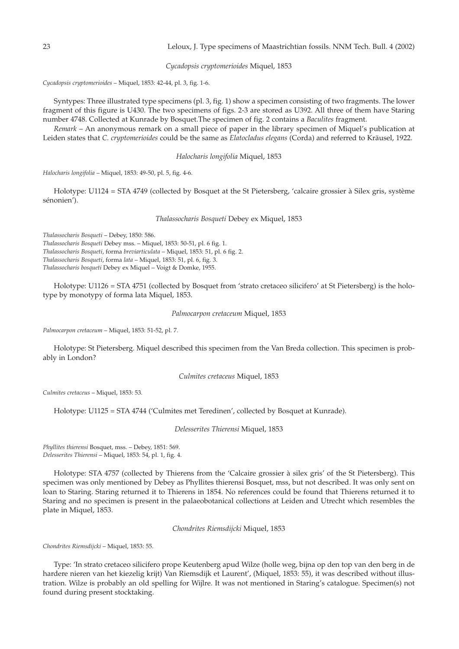*Cycadopsis cryptomerioides* Miquel, 1853

*Cycadopsis cryptomerioides* – Miquel, 1853: 42-44, pl. 3, fig. 1-6.

Syntypes: Three illustrated type specimens (pl. 3, fig. 1) show a specimen consisting of two fragments. The lower fragment of this figure is U430. The two specimens of figs. 2-3 are stored as U392. All three of them have Staring number 4748. Collected at Kunrade by Bosquet.The specimen of fig. 2 contains a *Baculites* fragment.

*Remark* – An anonymous remark on a small piece of paper in the library specimen of Miquel's publication at Leiden states that *C. cryptomerioides* could be the same as *Elatocladus elegans* (Corda) and referred to Kräusel, 1922.

### *Halocharis longifolia* Miquel, 1853

*Halocharis longifolia* – Miquel, 1853: 49-50, pl. 5, fig. 4-6.

Holotype: U1124 = STA 4749 (collected by Bosquet at the St Pietersberg, 'calcaire grossier à Silex gris, système sénonien').

## *Thalassocharis Bosqueti* Debey ex Miquel, 1853

*Thalassocharis Bosqueti* – Debey, 1850: 586.

*Thalassocharis Bosqueti* Debey mss. – Miquel, 1853: 50-51, pl. 6 fig. 1. *Thalassocharis Bosqueti*, forma *breviarticulata* – Miquel, 1853: 51, pl. 6 fig. 2. *Thalassocharis Bosqueti*, forma *lata* – Miquel, 1853: 51, pl. 6, fig. 3.

*Thalassocharis bosqueti* Debey ex Miquel – Voigt & Domke, 1955.

Holotype: U1126 = STA 4751 (collected by Bosquet from 'strato cretaceo silicifero' at St Pietersberg) is the holotype by monotypy of forma lata Miquel, 1853.

#### *Palmocarpon cretaceum* Miquel, 1853

*Palmocarpon cretaceum* – Miquel, 1853: 51-52, pl. 7.

Holotype: St Pietersberg. Miquel described this specimen from the Van Breda collection. This specimen is probably in London?

### *Culmites cretaceus* Miquel, 1853

*Culmites cretaceus* – Miquel, 1853: 53.

Holotype: U1125 = STA 4744 ('Culmites met Teredinen', collected by Bosquet at Kunrade).

*Delesserites Thierensi* Miquel, 1853

*Phyllites thierensi* Bosquet, mss. – Debey, 1851: 569. *Delesserites Thierensi* – Miquel, 1853: 54, pl. 1, fig. 4.

Holotype: STA 4757 (collected by Thierens from the 'Calcaire grossier à silex gris' of the St Pietersberg). This specimen was only mentioned by Debey as Phyllites thierensi Bosquet, mss, but not described. It was only sent on loan to Staring. Staring returned it to Thierens in 1854. No references could be found that Thierens returned it to Staring and no specimen is present in the palaeobotanical collections at Leiden and Utrecht which resembles the plate in Miquel, 1853.

*Chondrites Riemsdijcki* Miquel, 1853

*Chondrites Riemsdijcki* – Miquel, 1853: 55.

Type: 'In strato cretaceo silicifero prope Keutenberg apud Wilze (holle weg, bijna op den top van den berg in de hardere nieren van het kiezelig krijt) Van Riemsdijk et Laurent', (Miquel, 1853: 55), it was described without illustration. Wilze is probably an old spelling for Wijlre. It was not mentioned in Staring's catalogue. Specimen(s) not found during present stocktaking.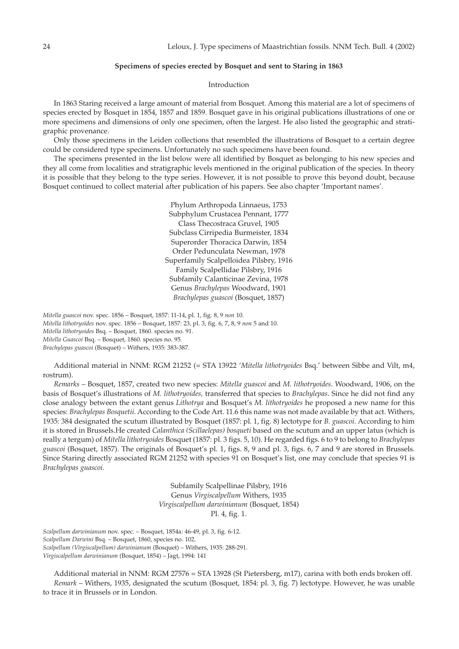# **Specimens of species erected by Bosquet and sent to Staring in 1863**

Introduction

In 1863 Staring received a large amount of material from Bosquet. Among this material are a lot of specimens of species erected by Bosquet in 1854, 1857 and 1859. Bosquet gave in his original publications illustrations of one or more specimens and dimensions of only one specimen, often the largest. He also listed the geographic and stratigraphic provenance.

Only those specimens in the Leiden collections that resembled the illustrations of Bosquet to a certain degree could be considered type specimens. Unfortunately no such specimens have been found.

The specimens presented in the list below were all identified by Bosquet as belonging to his new species and they all come from localities and stratigraphic levels mentioned in the original publication of the species. In theory it is possible that they belong to the type series. However, it is not possible to prove this beyond doubt, because Bosquet continued to collect material after publication of his papers. See also chapter 'Important names'.

> Phylum Arthropoda Linnaeus, 1753 Subphylum Crustacea Pennant, 1777 Class Thecostraca Gruvel, 1905 Subclass Cirripedia Burmeister, 1834 Superorder Thoracica Darwin, 1854 Order Pedunculata Newman, 1978 Superfamily Scalpelloidea Pilsbry, 1916 Family Scalpellidae Pilsbry, 1916 Subfamily Calanticinae Zevina, 1978 Genus *Brachylepas* Woodward, 1901 *Brachylepas guascoi* (Bosquet, 1857)

*Mitella guascoi* nov. spec. 1856 – Bosquet, 1857: 11-14, pl. 1, fig. 8, 9 *non* 10. *Mitella lithotryoïdes* nov. spec. 1856 – Bosquet, 1857: 23, pl. 3, fig. 6, 7, 8, 9 *non* 5 and 10. *Mitella lithotryoides* Bsq. – Bosquet, 1860. species no. 91. *Mitella Guascoi* Bsq. – Bosquet, 1860. species no. 95. *Brachylepas guascoi* (Bosquet) – Withers, 1935: 383-387.

Additional material in NNM: RGM 21252 (= STA 13922 '*Mitella lithotryoides* Bsq.' between Sibbe and Vilt, m4, rostrum).

*Remarks* – Bosquet, 1857, created two new species: *Mitella guascoi* and *M. lithotryoides*. Woodward, 1906, on the basis of Bosquet's illustrations of *M. lithotryoides,* transferred that species to *Brachylepas*. Since he did not find any close analogy between the extant genus *Lithotrya* and Bosquet's *M. lithotryoides* he proposed a new name for this species: *Brachylepas Bosquetii*. According to the Code Art. 11.6 this name was not made available by that act. Withers, 1935: 384 designated the scutum illustrated by Bosquet (1857: pl. 1, fig. 8) lectotype for *B. guascoi*. According to him it is stored in Brussels.He created *Calanthica (Scillaelepas) bosqueti* based on the scutum and an upper latus (which is really a tergum) of *Mitella lithotryoides* Bosquet (1857: pl. 3 figs. 5, 10). He regarded figs. 6 to 9 to belong to *Brachylepas guascoi* (Bosquet, 1857). The originals of Bosquet's pl. 1, figs. 8, 9 and pl. 3, figs. 6, 7 and 9 are stored in Brussels. Since Staring directly associated RGM 21252 with species 91 on Bosquet's list, one may conclude that species 91 is *Brachylepas guascoi*.

> Subfamily Scalpellinae Pilsbry, 1916 Genus *Virgiscalpellum* Withers, 1935 *Virgiscalpellum darwinianum* (Bosquet, 1854) Pl. 4, fig. 1.

*Scalpellum darwinianum* nov. spec. – Bosquet, 1854a: 46-49, pl. 3, fig. 6-12. *Scalpellum Darwini* Bsq. – Bosquet, 1860, species no. 102. *Scalpellum (Virgiscalpellum) darwinianum* (Bosquet) – Withers, 1935: 288-291. *Virgiscalpellum darwinianum* (Bosquet, 1854) – Jagt, 1994: 141

Additional material in NNM: RGM 27576 = STA 13928 (St Pietersberg, m17), carina with both ends broken off. *Remark* – Withers, 1935, designated the scutum (Bosquet, 1854: pl. 3, fig. 7) lectotype. However, he was unable to trace it in Brussels or in London.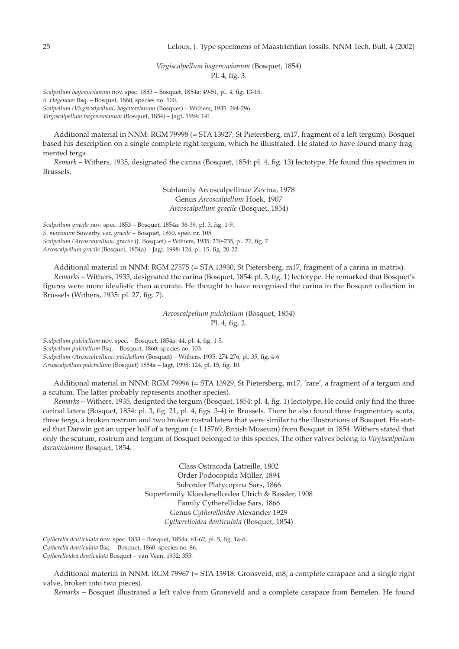*Virgiscalpellum hagenowianum* (Bosquet, 1854) Pl. 4, fig. 3.

*Scalpellum hagenowianum* nov. spec. 1853 – Bosquet, 1854a: 49-51, pl. 4, fig. 13-16. *S. Hagenowi* Bsq. – Bosquet, 1860, species no. 100. *Scalpellum (Virgiscalpellum) hagenowianum* (Bosquet) – Withers, 1935: 294-296.

*Virgiscalpellum hagenowianum* (Bosquet, 1854) – Jagt, 1994: 141.

Additional material in NNM: RGM 79998 (= STA 13927, St Pietersberg, m17, fragment of a left tergum). Bosquet based his description on a single complete right tergum, which he illustrated. He stated to have found many fragmented terga.

*Remark* – Withers, 1935, designated the carina (Bosquet, 1854: pl. 4, fig. 13) lectotype. He found this specimen in Brussels.

> Subfamily Arcoscalpellinae Zevina, 1978 Genus *Arcoscalpellum* Hoek, 1907 *Arcoscalpellum gracile* (Bosquet, 1854)

*Scalpellum gracile* nov. spec. 1853 – Bosquet, 1854a: 36-39, pl. 3, fig. 1-9. *S. maximum* Sowerby var. *gracile –* Bosquet, 1860, spec. nr. 105. *Scalpellum (Arcoscalpellum) gracile* (J. Bosquet) – Withers, 1935: 230-235, pl. 27, fig. 7. *Arcoscalpellum gracile* (Bosquet, 1854a) – Jagt, 1998: 124, pl. 15, fig. 20-22.

Additional material in NNM: RGM 27575 (= STA 13930, St Pietersberg, m17, fragment of a carina in matrix). *Remarks* – Withers, 1935, designated the carina (Bosquet, 1854: pl. 3, fig. 1) lectotype. He remarked that Bosquet's figures were more idealistic than accurate. He thought to have recognised the carina in the Bosquet collection in Brussels (Withers, 1935: pl. 27, fig. 7).

> *Arcoscalpellum pulchellum* (Bosquet, 1854) Pl. 4, fig. 2.

*Scalpellum pulchellum* nov. spec. – Bosquet, 1854a: 44, pl. 4, fig. 1-5. *Scalpellum pulchellum* Bsq. – Bosquet, 1860, species no. 103. *Scalpellum (Arcoscalpellum) pulchellum* (Bosquet) – Withers, 1935: 274-276, pl. 35, fig. 4-6 *Arcoscalpellum pulchellum* (Bosquet) 1854a – Jagt, 1998: 124, pl. 15, fig. 10.

Additional material in NNM: RGM 79996 (= STA 13929, St Pietersberg, m17, 'rare', a fragment of a tergum and a scutum. The latter probably represents another species).

*Remarks* – Withers, 1935, designted the tergum (Bosquet, 1854: pl. 4, fig. 1) lectotype. He could only find the three carinal latera (Bosquet, 1854: pl. 3, fig. 21, pl. 4, figs. 3-4) in Brussels. There he also found three fragmentary scuta, three terga, a broken rostrum and two broken rostral latera that were similar to the illustrations of Bosquet. He stated that Darwin got an upper half of a tergum (= I.15769, British Museum) from Bosquet in 1854. Withers stated that only the scutum, rostrum and tergum of Bosquet belonged to this species. The other valves belong to *Virgiscalpellum darwinianum* Bosquet, 1854.

> Class Ostracoda Latreille, 1802 Order Podocopida Müller, 1894 Suborder Platycopina Sars, 1866 Superfamily Kloedenelloidea Ulrich & Bassler, 1908 Family Cytherellidae Sars, 1866 Genus *Cytherelloidea* Alexander 1929 *Cytherelloidea denticulata* (Bosquet, 1854)

*Cytherella denticulata* nov. spec. 1853 – Bosquet, 1854a: 61-62, pl. 5, fig. 1a-d. *Cytherella denticulata* Bsq. – Bosquet, 1860: species no. 86. *Cytherelloidea denticulata* Bosquet – van Veen, 1932: 353.

Additional material in NNM: RGM 79967 (= STA 13918: Gronsveld, m8, a complete carapace and a single right valve, broken into two pieces).

*Remarks* – Bosquet illustrated a left valve from Gronsveld and a complete carapace from Bemelen. He found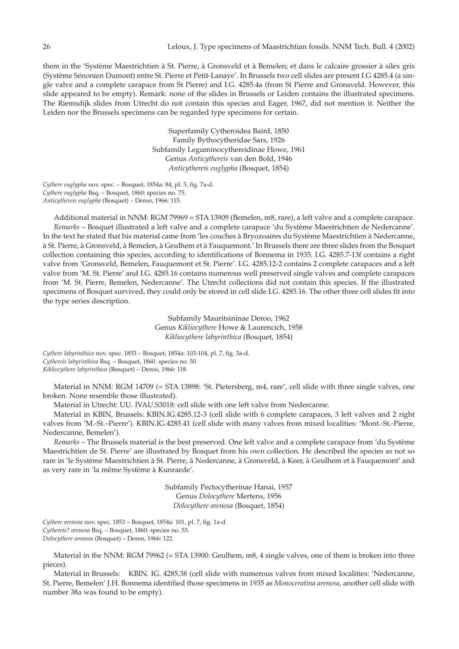them in the 'Système Maestrichtien à St. Pierre, à Gronsveld et à Bemelen; et dans le calcaire grossier à silex gris (Système Sénonien Dumont) entre St. Pierre et Petit-Lanaye'. In Brussels two cell slides are present I.G 4285.4 (a single valve and a complete carapace from St Pierre) and I.G. 4285.4a (from St Pierre and Gronsveld. However, this slide appeared to be empty). Remark: none of the slides in Brussels or Leiden contains the illustrated specimens. The Riemsdijk slides from Utrecht do not contain this species and Eager, 1967, did not mention it. Neither the Leiden nor the Brussels specimens can be regarded type specimens for certain.

> Superfamily Cytheroidea Baird, 1850 Family Bythocytheridae Sars, 1926 Subfamily Leguminocythereidinae Howe, 1961 Genus *Anticythereis* van den Bold, 1946 *Anticythereis euglypha* (Bosquet, 1854)

*Cythere euglypha* nov. spec. – Bosquet, 1854a: 84, pl. 5, fig. 7a-d. *Cythere euglypha* Bsq. – Bosquet, 1860: species no. 75. *Anticythereis euglypha* (Bosquet) – Deroo, 1966: 115.

Additional material in NNM: RGM 79969 = STA 13909 (Bemelen, m8, rare), a left valve and a complete carapace. *Remarks* – Bosquet illustrated a left valve and a complete carapace 'du Système Maestrichtien de Nedercanne'. In the text he stated that his material came from 'les couches à Bryozoaires du Système Maestrichtien à Nedercanne, à St. Pierre, à Gronsveld, à Bemelen, à Geulhem et à Fauquemont.' In Brussels there are three slides from the Bosquet collection containing this species, according to identifications of Bonnema in 1935. I.G. 4285.7-13f contains a right valve from 'Gronsveld, Bemelen, Fauquemont et St. Pierre'. I.G. 4285.12-2 contains 2 complete carapaces and a left valve from 'M. St. Pierre' and I.G. 4285.16 contains numerous well preserved single valves and complete carapaces from 'M. St. Pierre, Bemelen, Nedercanne'. The Utrecht collections did not contain this species. If the illustrated specimens of Bosquet survived, they could only be stored in cell slide I.G. 4285.16. The other three cell slides fit into the type series description.

> Subfamily Mauritsininae Deroo, 1962 Genus *Kikliocythere* Howe & Laurencich, 1958 *Kikliocythere labyrinthica* (Bosquet, 1854)

*Cythere labyrinthica* nov. spec. 1853 – Bosquet, 1854a: 103-104, pl. 7, fig. 3a-d. *Cythereis labyrinthica* Bsq. – Bosquet, 1860. species no. 50. *Kikliocythere labyrinthica* (Bosquet) – Deroo, 1966: 118.

Material in NNM: RGM 14709 (= STA 13898: 'St. Pietersberg, m4, rare', cell slide with three single valves, one broken. None resemble those illustrated).

Material in Utrecht: UU. IVAU.S3018: cell slide with one left valve from Nedercanne.

Material in KBIN, Brussels: KBIN.IG.4285.12-3 (cell slide with 6 complete carapaces, 3 left valves and 2 right valves from 'M.-St.–Pierre'). KBIN.IG.4285.41 (cell slide with many valves from mixed localities: 'Mont.-St.-Pierre, Nedercanne, Bemelen').

*Remarks* – The Brussels material is the best preserved. One left valve and a complete carapace from 'du Système Maestrichtien de St. Pierre' are illustrated by Bosquet from his own collection. He described the species as not so rare in 'le Système Maestrichtien à St. Pierre, à Nedercanne, à Gronsveld, à Keer, à Geulhem et à Fauquemont' and as very rare in 'la même Système à Kunraede'.

> Subfamily Pectocytherinae Hanai, 1957 Genus *Dolocythere* Mertens, 1956 *Dolocythere arenosa* (Bosquet, 1854)

*Cythere arenosa* nov. spec. 1853 – Bosquet, 1854a: 101, pl. 7, fig. 1a-d. *Cythereis? arenosa* Bsq. – Bosquet, 1860: species no. 53. *Dolocythere arenosa* (Bosquet) – Deroo, 1966: 122.

Material in the NNM: RGM 79962 (= STA 13900: Geulhem, m8, 4 single valves, one of them is broken into three pieces).

Material in Brussels: KBIN. IG. 4285.38 (cell slide with numerous valves from mixed localities: 'Nedercanne, St. Pierre, Bemelen' J.H. Bonnema identified those specimens in 1935 as *Monoceratina arenosa*, another cell slide with number 38a was found to be empty).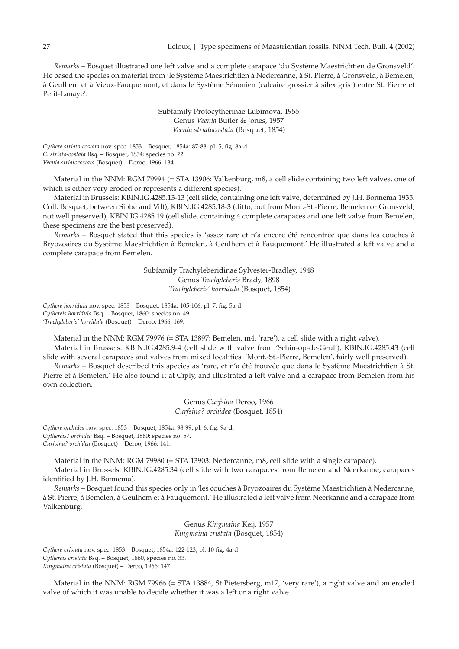*Remarks* – Bosquet illustrated one left valve and a complete carapace 'du Système Maestrichtien de Gronsveld'. He based the species on material from 'le Système Maestrichtien à Nedercanne, à St. Pierre, à Gronsveld, à Bemelen, à Geulhem et à Vieux-Fauquemont, et dans le Système Sénonien (calcaire grossier à silex gris ) entre St. Pierre et Petit-Lanaye'.

> Subfamily Protocytherinae Lubimova, 1955 Genus *Veenia* Butler & Jones, 1957 *Veenia striatocostata* (Bosquet, 1854)

*Cythere striato-costata* nov. spec. 1853 – Bosquet, 1854a: 87-88, pl. 5, fig. 8a-d. *C. striato-costata* Bsq. – Bosquet, 1854: species no. 72. *Veenia striatocostata* (Bosquet) – Deroo, 1966: 134.

Material in the NNM: RGM 79994 (= STA 13906: Valkenburg, m8, a cell slide containing two left valves, one of which is either very eroded or represents a different species).

Material in Brussels: KBIN.IG.4285.13-13 (cell slide, containing one left valve, determined by J.H. Bonnema 1935. Coll. Bosquet, between Sibbe and Vilt), KBIN.IG.4285.18-3 (ditto, but from Mont.-St.-Pierre, Bemelen or Gronsveld, not well preserved), KBIN.IG.4285.19 (cell slide, containing 4 complete carapaces and one left valve from Bemelen, these specimens are the best preserved).

*Remarks* – Bosquet stated that this species is 'assez rare et n'a encore été rencontrée que dans les couches à Bryozoaires du Système Maestrichtien à Bemelen, à Geulhem et à Fauquemont.' He illustrated a left valve and a complete carapace from Bemelen.

> Subfamily Trachyleberidinae Sylvester-Bradley, 1948 Genus *Trachyleberis* Brady, 1898 *'Trachyleberis' horridula* (Bosquet, 1854)

*Cythere horridula* nov. spec. 1853 – Bosquet, 1854a: 105-106, pl. 7, fig. 5a-d. *Cythereis horridula* Bsq. – Bosquet, 1860: species no. 49. *'Trachyleberis' horridula* (Bosquet) – Deroo, 1966: 169.

Material in the NNM: RGM 79976 (= STA 13897: Bemelen, m4, 'rare'), a cell slide with a right valve). Material in Brussels: KBIN.IG.4285.9-4 (cell slide with valve from 'Schin-op-de-Geul'), KBIN.IG.4285.43 (cell slide with several carapaces and valves from mixed localities: 'Mont.-St.-Pierre, Bemelen', fairly well preserved).

*Remarks* – Bosquet described this species as 'rare, et n'a été trouvée que dans le Système Maestrichtien à St. Pierre et à Bemelen.' He also found it at Ciply, and illustrated a left valve and a carapace from Bemelen from his own collection.

> Genus *Curfsina* Deroo, 1966 *Curfsina? orchidea* (Bosquet, 1854)

*Cythere orchidea* nov. spec. 1853 – Bosquet, 1854a: 98-99, pl. 6, fig. 9a-d. *Cythereis? orchidea* Bsq. – Bosquet, 1860: species no. 57. *Curfsina? orchidea* (Bosquet) – Deroo, 1966: 141.

Material in the NNM: RGM 79980 (= STA 13903: Nedercanne, m8, cell slide with a single carapace).

Material in Brussels: KBIN.IG.4285.34 (cell slide with two carapaces from Bemelen and Neerkanne, carapaces identified by J.H. Bonnema).

*Remarks* – Bosquet found this species only in 'les couches à Bryozoaires du Système Maestrichtien à Nedercanne, à St. Pierre, à Bemelen, à Geulhem et à Fauquemont.' He illustrated a left valve from Neerkanne and a carapace from Valkenburg.

> Genus *Kingmaina* Keij, 1957 *Kingmaina cristata* (Bosquet, 1854)

*Cythere cristata* nov. spec. 1853 – Bosquet, 1854a: 122-123, pl. 10 fig. 4a-d. *Cythereis cristata* Bsq. – Bosquet, 1860, species no. 33. *Kingmaina cristata* (Bosquet) – Deroo, 1966: 147.

Material in the NNM: RGM 79966 (= STA 13884, St Pietersberg, m17, 'very rare'), a right valve and an eroded valve of which it was unable to decide whether it was a left or a right valve.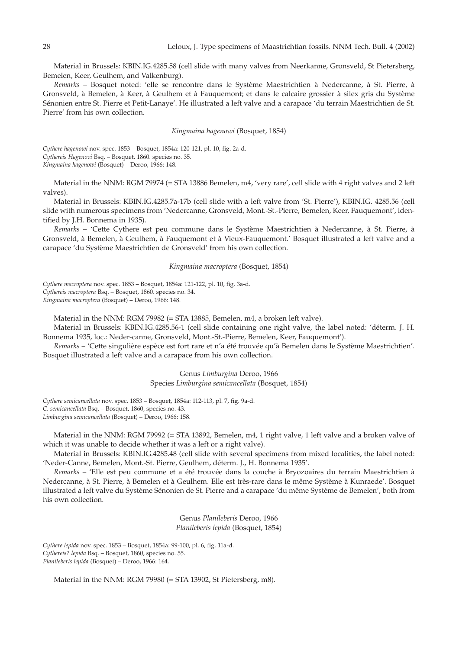Material in Brussels: KBIN.IG.4285.58 (cell slide with many valves from Neerkanne, Gronsveld, St Pietersberg, Bemelen, Keer, Geulhem, and Valkenburg).

*Remarks* – Bosquet noted: 'elle se rencontre dans le Système Maestrichtien à Nedercanne, à St. Pierre, à Gronsveld, à Bemelen, à Keer, à Geulhem et à Fauquemont; et dans le calcaire grossier à silex gris du Système Sénonien entre St. Pierre et Petit-Lanaye'. He illustrated a left valve and a carapace 'du terrain Maestrichtien de St. Pierre' from his own collection.

## *Kingmaina hagenowi* (Bosquet, 1854)

*Cythere hagenowi* nov. spec. 1853 – Bosquet, 1854a: 120-121, pl. 10, fig. 2a-d. *Cythereis Hagenovi* Bsq. – Bosquet, 1860. species no. 35. *Kingmaina hagenowi* (Bosquet) – Deroo, 1966: 148.

Material in the NNM: RGM 79974 (= STA 13886 Bemelen, m4, 'very rare', cell slide with 4 right valves and 2 left valves).

Material in Brussels: KBIN.IG.4285.7a-17b (cell slide with a left valve from 'St. Pierre'), KBIN.IG. 4285.56 (cell slide with numerous specimens from 'Nedercanne, Gronsveld, Mont.-St.-Pierre, Bemelen, Keer, Fauquemont', identified by J.H. Bonnema in 1935).

*Remarks* – 'Cette Cythere est peu commune dans le Système Maestrichtien à Nedercanne, à St. Pierre, à Gronsveld, à Bemelen, à Geulhem, à Fauquemont et à Vieux-Fauquemont.' Bosquet illustrated a left valve and a carapace 'du Système Maestrichtien de Gronsveld' from his own collection.

## *Kingmaina macroptera* (Bosquet, 1854)

*Cythere macroptera* nov. spec. 1853 – Bosquet, 1854a: 121-122, pl. 10, fig. 3a-d. *Cythereis macroptera* Bsq. – Bosquet, 1860. species no. 34. *Kingmaina macroptera* (Bosquet) – Deroo, 1966: 148.

Material in the NNM: RGM 79982 (= STA 13885, Bemelen, m4, a broken left valve).

Material in Brussels: KBIN.IG.4285.56-1 (cell slide containing one right valve, the label noted: 'déterm. J. H. Bonnema 1935, loc.: Neder-canne, Gronsveld, Mont.-St.-Pierre, Bemelen, Keer, Fauquemont').

*Remarks* – 'Cette singulière espèce est fort rare et n'a été trouvée qu'à Bemelen dans le Système Maestrichtien'. Bosquet illustrated a left valve and a carapace from his own collection.

> Genus *Limburgina* Deroo, 1966 Species *Limburgina semicancellata* (Bosquet, 1854)

*Cythere semicancellata* nov. spec. 1853 – Bosquet, 1854a: 112-113, pl. 7, fig. 9a-d. *C. semicancellata* Bsq. – Bosquet, 1860, species no. 43. *Limburgina semicancellata* (Bosquet) – Deroo, 1966: 158.

Material in the NNM: RGM 79992 (= STA 13892, Bemelen, m4, 1 right valve, 1 left valve and a broken valve of which it was unable to decide whether it was a left or a right valve).

Material in Brussels: KBIN.IG.4285.48 (cell slide with several specimens from mixed localities, the label noted: 'Neder-Canne, Bemelen, Mont.-St. Pierre, Geulhem, déterm. J., H. Bonnema 1935'.

*Remarks* – 'Elle est peu commune et a été trouvée dans la couche à Bryozoaires du terrain Maestrichtien à Nedercanne, à St. Pierre, à Bemelen et à Geulhem. Elle est très-rare dans le même Système à Kunraede'. Bosquet illustrated a left valve du Système Sénonien de St. Pierre and a carapace 'du même Système de Bemelen', both from his own collection.

> Genus *Planileberis* Deroo, 1966 *Planileberis lepida* (Bosquet, 1854)

*Cythere lepida* nov. spec. 1853 – Bosquet, 1854a: 99-100, pl. 6, fig. 11a-d. *Cythereis? lepida* Bsq. – Bosquet, 1860, species no. 55. *Planileberis lepida* (Bosquet) – Deroo, 1966: 164.

Material in the NNM: RGM 79980 (= STA 13902, St Pietersberg, m8).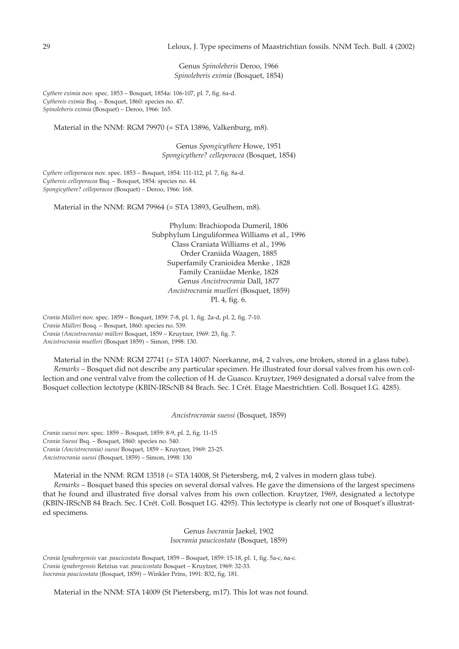# 29 Leloux, J. Type specimens of Maastrichtian fossils. NNM Tech. Bull. 4 (2002)

Genus *Spinoleberis* Deroo, 1966 *Spinoleberis eximia* (Bosquet, 1854)

*Cythere eximia* nov. spec. 1853 – Bosquet, 1854a: 106-107, pl. 7, fig. 6a-d. *Cythereis eximia* Bsq. – Bosquet, 1860: species no. 47. *Spinoleberis eximia* (Bosquet) – Deroo, 1966: 165.

Material in the NNM: RGM 79970 (= STA 13896, Valkenburg, m8).

Genus *Spongicythere* Howe, 1951 *Spongicythere? celleporacea* (Bosquet, 1854)

*Cythere celleporacea* nov. spec. 1853 – Bosquet, 1854: 111-112, pl. 7, fig. 8a-d. *Cythereis celleporacea* Bsq. – Bosquet, 1854: species no. 44. *Spongicythere? celleporacea* (Bosquet) – Deroo, 1966: 168.

Material in the NNM: RGM 79964 (= STA 13893, Geulhem, m8).

Phylum: Brachiopoda Dumeril, 1806 Subphylum Linguliformea Williams et al., 1996 Class Craniata Williams et al., 1996 Order Craniida Waagen, 1885 Superfamily Cranioidea Menke , 1828 Family Craniidae Menke, 1828 Genus *Ancistrocrania* Dall, 1877 *Ancistrocrania muelleri* (Bosquet, 1859) Pl. 4, fig. 6.

*Crania Mülleri* nov. spec. 1859 – Bosquet, 1859: 7-8, pl. 1, fig. 2a-d, pl. 2, fig. 7-10. *Crania Mülleri* Bosq. – Bosquet, 1860: species no. 539. *Crania (Ancistrocrania) mülleri* Bosquet, 1859 – Kruytzer, 1969: 23, fig. 7. *Ancistrocrania muelleri* (Bosquet 1859) – Simon, 1998: 130.

Material in the NNM: RGM 27741 (= STA 14007: Neerkanne, m4, 2 valves, one broken, stored in a glass tube). *Remarks* – Bosquet did not describe any particular specimen. He illustrated four dorsal valves from his own collection and one ventral valve from the collection of H. de Guasco. Kruytzer, 1969 designated a dorsal valve from the Bosquet collection lectotype (KBIN-IRScNB 84 Brach. Sec. I Crét. Etage Maestrichtien. Coll. Bosquet I.G. 4285).

*Ancistrocrania suessi* (Bosquet, 1859)

*Crania suessi* nov. spec. 1859 – Bosquet, 1859: 8-9, pl. 2, fig. 11-15 *Crania Suessi* Bsq. – Bosquet, 1860: species no. 540. *Crania (Ancistrocrania) suessi* Bosquet, 1859 – Kruytzer, 1969: 23-25. *Ancistrocrania suessi* (Bosquet, 1859) – Simon, 1998: 130

Material in the NNM: RGM 13518 (= STA 14008, St Pietersberg, m4, 2 valves in modern glass tube).

*Remarks* – Bosquet based this species on several dorsal valves. He gave the dimensions of the largest specimens that he found and illustrated five dorsal valves from his own collection. Kruytzer, 1969, designated a lectotype (KBIN-IRScNB 84 Brach. Sec. I Crét. Coll. Bosquet I.G. 4295). This lectotype is clearly not one of Bosquet's illustrated specimens.

> Genus *Isocrania* Jaekel, 1902 *Isocrania paucicostata* (Bosquet, 1859)

*Crania Ignabergensis* var. *paucicostata* Bosquet, 1859 – Bosquet, 1859: 15-18, pl. 1, fig. 5a-c, 6a-c. *Crania ignabergensis* Retzius var. *paucicostata* Bosquet – Kruytzer, 1969: 32-33. *Isocrania paucicostata* (Bosquet, 1859) – Winkler Prins, 1991: B32, fig. 181.

Material in the NNM: STA 14009 (St Pietersberg, m17). This lot was not found.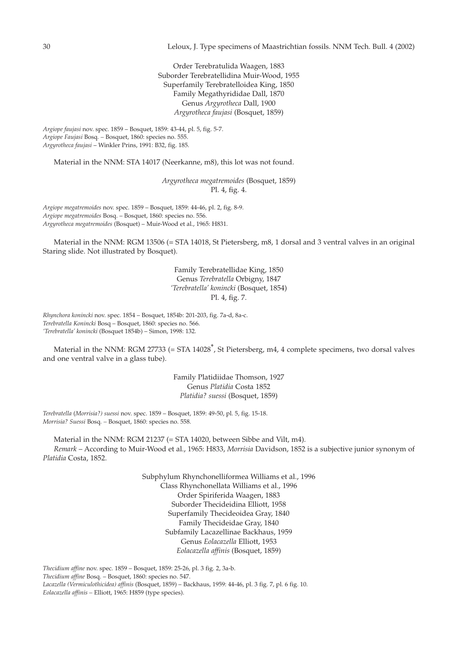Order Terebratulida Waagen, 1883 Suborder Terebratellidina Muir-Wood, 1955 Superfamily Terebratelloidea King, 1850 Family Megathyrididae Dall, 1870 Genus *Argyrotheca* Dall, 1900 *Argyrotheca faujasi* (Bosquet, 1859)

*Argiope faujasi* nov. spec. 1859 – Bosquet, 1859: 43-44, pl. 5, fig. 5-7. *Argiope Faujasi* Bosq*. –* Bosquet, 1860: species no. 555. *Argyrotheca faujasi* – Winkler Prins, 1991: B32, fig. 185.

Material in the NNM: STA 14017 (Neerkanne, m8), this lot was not found.

*Argyrotheca megatremoides* (Bosquet, 1859) Pl. 4, fig. 4.

*Argiope megatremoides* nov. spec. 1859 – Bosquet, 1859: 44-46, pl. 2, fig. 8-9. *Argiope megatremoides* Bosq. – Bosquet, 1860: species no. 556. *Argyrotheca megatremoides* (Bosquet) – Muir-Wood et al., 1965: H831.

Material in the NNM: RGM 13506 (= STA 14018, St Pietersberg, m8, 1 dorsal and 3 ventral valves in an original Staring slide. Not illustrated by Bosquet).

> Family Terebratellidae King, 1850 Genus *Terebratella* Orbigny, 1847 *'Terebratella' konincki* (Bosquet, 1854) Pl. 4, fig. 7.

*Rhynchora konincki* nov. spec. 1854 – Bosquet, 1854b: 201-203, fig. 7a-d, 8a-c. *Terebratella Konincki* Bosq – Bosquet, 1860: species no. 566. *'Terebratella' konincki* (Bosquet 1854b) – Simon, 1998: 132.

Material in the NNM: RGM 27733 (= STA 14028<sup>\*</sup>, St Pietersberg, m4, 4 complete specimens, two dorsal valves and one ventral valve in a glass tube).

> Family Platidiidae Thomson, 1927 Genus *Platidia* Costa 1852 *Platidia? suessi* (Bosquet, 1859)

*Terebratella* (*Morrisia?) suessi* nov. spec. 1859 – Bosquet, 1859: 49-50, pl. 5, fig. 15-18. *Morrisia? Suessi* Bosq*. –* Bosquet, 1860: species no. 558.

Material in the NNM: RGM 21237 (= STA 14020, between Sibbe and Vilt, m4). *Remark* – According to Muir-Wood et al., 1965: H833, *Morrisia* Davidson, 1852 is a subjective junior synonym of *Platidia* Costa, 1852.

> Subphylum Rhynchonelliformea Williams et al., 1996 Class Rhynchonellata Williams et al., 1996 Order Spiriferida Waagen, 1883 Suborder Thecideidina Elliott, 1958 Superfamily Thecideoidea Gray, 1840 Family Thecideidae Gray, 1840 Subfamily Lacazellinae Backhaus, 1959 Genus *Eolacazella* Elliott, 1953 *Eolacazella affinis* (Bosquet, 1859)

*Thecidium affine* nov. spec. 1859 – Bosquet, 1859: 25-26, pl. 3 fig. 2, 3a-b. *Thecidium affine* Bosq. – Bosquet, 1860: species no. 547.

*Lacazella (Vermiculothicidea) affinis* (Bosquet, 1859) – Backhaus, 1959: 44-46, pl. 3 fig. 7, pl. 6 fig. 10. *Eolacazella affinis –* Elliott, 1965: H859 (type species).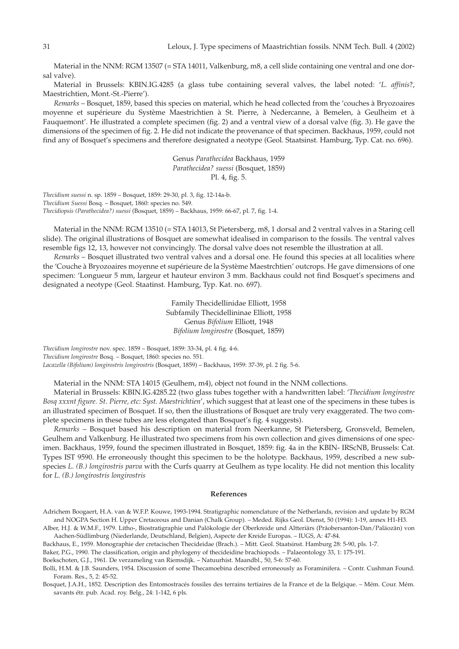Material in the NNM: RGM 13507 (= STA 14011, Valkenburg, m8, a cell slide containing one ventral and one dorsal valve).

Material in Brussels: KBIN.IG.4285 (a glass tube containing several valves, the label noted: '*L. affinis*?, Maestrichtien, Mont.-St.-Pierre').

*Remarks* – Bosquet, 1859, based this species on material, which he head collected from the 'couches à Bryozoaires moyenne et supérieure du Système Maestrichtien à St. Pierre, à Nedercanne, à Bemelen, à Geulheim et à Fauquemont'. He illustrated a complete specimen (fig. 2) and a ventral view of a dorsal valve (fig. 3). He gave the dimensions of the specimen of fig. 2. He did not indicate the provenance of that specimen. Backhaus, 1959, could not find any of Bosquet's specimens and therefore designated a neotype (Geol. Staatsinst. Hamburg, Typ. Cat. no. 696).

> Genus *Parathecidea* Backhaus, 1959 *Parathecidea? suessi* (Bosquet, 1859) Pl. 4, fig. 5.

*Thecidium suessi* n. sp. 1859 – Bosquet, 1859: 29-30, pl. 3, fig. 12-14a-b. *Thecidium Suessi* Bosq. – Bosquet, 1860: species no. 549. *Thecidiopsis (Parathecidea?) suessi* (Bosquet, 1859) – Backhaus, 1959: 66-67, pl. 7, fig. 1-4.

Material in the NNM: RGM 13510 (= STA 14013, St Pietersberg, m8, 1 dorsal and 2 ventral valves in a Staring cell slide). The original illustrations of Bosquet are somewhat idealised in comparison to the fossils. The ventral valves resemble figs 12, 13, however not convincingly. The dorsal valve does not resemble the illustration at all.

*Remarks* – Bosquet illustrated two ventral valves and a dorsal one. He found this species at all localities where the 'Couche à Bryozoaires moyenne et supérieure de la Système Maestrchtien' outcrops. He gave dimensions of one specimen: 'Longueur 5 mm, largeur et hauteur environ 3 mm. Backhaus could not find Bosquet's specimens and designated a neotype (Geol. Staatinst. Hamburg, Typ. Kat. no. 697).

> Family Thecidellinidae Elliott, 1958 Subfamily Thecidellininae Elliott, 1958 Genus *Bifolium* Elliott, 1948 *Bifolium longirostre* (Bosquet, 1859)

*Thecidium longirostre* nov. spec. 1859 – Bosquet, 1859: 33-34, pl. 4 fig. 4-6. *Thecidium longirostre* Bosq. – Bosquet, 1860: species no. 551. *Lacazella (Bifolium) longirostris longirostris* (Bosquet, 1859) – Backhaus, 1959: 37-39, pl. 2 fig. 5-6.

Material in the NNM: STA 14015 (Geulhem, m4), object not found in the NNM collections.

Material in Brussels: KBIN.IG.4285.22 (two glass tubes together with a handwritten label: '*Thecidium longirostre Bosq xxxnt figure. St. Pierre, etc: Syst. Maestrichtien*', which suggest that at least one of the specimens in these tubes is an illustrated specimen of Bosquet. If so, then the illustrations of Bosquet are truly very exaggerated. The two complete specimens in these tubes are less elongated than Bosquet's fig. 4 suggests).

*Remarks* – Bosquet based his description on material from Neerkanne, St Pietersberg, Gronsveld, Bemelen, Geulhem and Valkenburg. He illustrated two specimens from his own collection and gives dimensions of one specimen. Backhaus, 1959, found the specimen illustrated in Bosquet, 1859: fig. 4a in the KBIN- IRScNB, Brussels: Cat. Types IST 9590. He erroneously thought this specimen to be the holotype. Backhaus, 1959, described a new subspecies *L. (B.) longirostris parva* with the Curfs quarry at Geulhem as type locality. He did not mention this locality for *L. (B.) longirostris longirostris*

# **References**

Adrichem Boogaert, H.A. van & W.F.P. Kouwe, 1993-1994. Stratigraphic nomenclature of the Netherlands, revision and update by RGM and NOGPA Section H. Upper Cretaceous and Danian (Chalk Group). – Meded. Rijks Geol. Dienst, 50 (1994): 1-19, annex H1-H3.

Alber, H.J. & W.M.F., 1979. Litho-, Biostratigraphie und Palökologie der Oberkreide und Altteriärs (Präobersanton-Dan/Paläozän) von Aachen-Südlimburg (Niederlande, Deutschland, Belgien), Aspecte der Kreide Europas. – IUGS, A: 47-84.

Backhaus, E., 1959. Monographie der cretacischen Thecideidae (Brach.). – Mitt. Geol. Staatsinst. Hamburg 28: 5-90, pls. 1-7.

Baker, P.G., 1990. The classification, origin and phylogeny of thecideidine brachiopods. – Palaeontology 33, 1: 175-191.

Boekschoten, G.J., 1961. De verzameling van Riemsdijk. – Natuurhist. Maandbl., 50, 5-6: 57-60.

Bolli, H.M. & J.B. Saunders, 1954. Discussion of some Thecamoebina described erroneously as Foraminifera. – Contr. Cushman Found. Foram. Res., 5, 2: 45-52.

Bosquet, J.A.H., 1852. Description des Entomostracés fossiles des terrains tertiaires de la France et de la Belgique. – Mém. Cour. Mém. savants étr. pub. Acad. roy. Belg., 24: 1-142, 6 pls.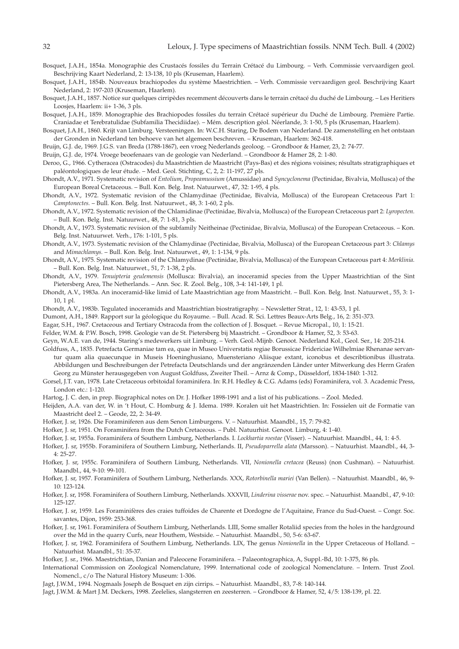- Bosquet, J.A.H., 1854a. Monographie des Crustacés fossiles du Terrain Crétacé du Limbourg. Verh. Commissie vervaardigen geol. Beschrijving Kaart Nederland, 2: 13-138, 10 pls (Kruseman, Haarlem).
- Bosquet, J.A.H., 1854b. Nouveaux brachiopodes du système Maestrichtien. Verh. Commissie vervaardigen geol. Beschrijving Kaart Nederland, 2: 197-203 (Kruseman, Haarlem).
- Bosquet, J.A.H., 1857. Notice sur quelques cirripèdes recemment découverts dans le terrain crétacé du duché de Limbourg. Les Heritiers Loosjes, Haarlem: ii+ 1-36, 3 pls.
- Bosquet, J.A.H., 1859. Monographie des Brachiopodes fossiles du terrain Crétacé supérieur du Duché de Limbourg. Première Partie. Craniadae et Terebratulidae (Subfamilia Thecidiidae). – Mém. description géol. Néerlande, 3: 1-50, 5 pls (Kruseman, Haarlem).
- Bosquet, J.A.H., 1860. Krijt van Limburg. Versteeningen. In: W.C.H. Staring, De Bodem van Nederland. De zamenstelling en het ontstaan der Gronden in Nederland ten behoeve van het algemeen beschreven. – Kruseman, Haarlem: 362-418.

Bruijn, G.J. de, 1969. J.G.S. van Breda (1788-1867), een vroeg Nederlands geoloog. – Grondboor & Hamer, 23, 2: 74-77.

Bruijn, G.J. de, 1974. Vroege beoefenaars van de geologie van Nederland. – Grondboor & Hamer 28, 2: 1-80.

- Deroo, G., 1966. Cytheracea (Ostracodes) du Maastrichtien de Maastricht (Pays-Bas) et des régions voisines; résultats stratigraphiques et paléontologiques de leur étude. – Med. Geol. Stichting, C, 2, 2: 11-197, 27 pls.
- Dhondt, A.V., 1971. Systematic revision of *Entolium*, *Propeamussium* (Amussidae) and *Syncyclonema* (Pectinidae, Bivalvia, Mollusca) of the European Boreal Cretaceous. – Bull. Kon. Belg. Inst. Natuurwet., 47, 32: 1-95, 4 pls.
- Dhondt, A.V., 1972. Systematic revision of the Chlamydinae (Pectinidae, Bivalvia, Mollusca) of the European Cretaceous Part 1: *Camptonectes.* – Bull. Kon. Belg. Inst. Natuurwet., 48, 3: 1-60, 2 pls.
- Dhondt, A.V., 1972. Systematic revision of the Chlamidinae (Pectinidae, Bivalvia, Mollusca) of the European Cretaceous part 2: *Lyropecten.* – Bull. Kon. Belg. Inst. Natuurwet., 48, 7: 1-81, 3 pls.
- Dhondt, A.V., 1973. Systematic revision of the subfamily Neitheinae (Pectinidae, Bivalvia, Mollusca) of the European Cretaceous. Kon. Belg. Inst. Natuurwet. Verh., 176: 1-101, 5 pls.
- Dhondt, A.V., 1973. Systematic revision of the Chlamydinae (Pectinidae, Bivalvia, Mollusca) of the European Cretaceous part 3: *Chlamys* and *Mimachlamys.* – Bull. Kon. Belg. Inst. Natuurwet., 49, 1: 1-134, 9 pls.
- Dhondt, A.V., 1975. Systematic revision of the Chlamydinae (Pectinidae, Bivalvia, Mollusca) of the European Cretaceous part 4: *Merklinia.* – Bull. Kon. Belg. Inst. Natuurwet., 51, 7: 1-38, 2 pls.
- Dhondt, A.V., 1979. *Tenuipteria geulemensis* (Mollusca: Bivalvia), an inoceramid species from the Upper Maastrichtian of the Sint Pietersberg Area, The Netherlands. – Ann. Soc. R. Zool. Belg., 108, 3-4: 141-149, 1 pl.
- Dhondt, A.V., 1983a. An inoceramid-like limid of Late Maastrichtian age from Maastricht. Bull. Kon. Belg. Inst. Natuurwet., 55, 3: 1- 10, 1 pl.
- Dhondt, A.V., 1983b. Tegulated inoceramids and Maastrichtian biostratigraphy. Newsletter Strat., 12, 1: 43-53, 1 pl.
- Dumont, A.H., 1849. Rapport sur la géologique du Royaume. Bull. Acad. R. Sci. Lettres Beaux-Arts Belg., 16, 2: 351-373.
- Eagar, S.H., 1967. Cretaceous and Tertiary Ostracoda from the collection of J. Bosquet. Revue Micropal., 10, 1: 15-21.
- Felder, W.M. & P.W. Bosch, 1998. Geologie van de St. Pietersberg bij Maastricht. Grondboor & Hamer, 52, 3: 53-63.
- Geyn, W.A.E. van de, 1944. Staring's medewerkers uit Limburg. Verh. Geol.-Mijnb. Genoot. Nederland Kol., Geol. Ser., 14: 205-214.
- Goldfuss, A., 1835. Petrefacta Germaniae tam ea, quae in Museo Universtatis regiae Borussicae Fridericiae Wilhelmiae Rhenanae servantur quam alia quaecunque in Museis Hoeninghusiano, Muensteriano Aliisque extant, iconobus et describtionibus illustrata. Abbildungen und Beschreibungen der Petrefacta Deutschlands und der angränzenden Länder unter Mitwerkung des Herrn Grafen Georg zu Münster herausgegeben von August Goldfuss, Zweiter Theil. – Arnz & Comp., Düsseldorf, 1834-1840: 1-312.
- Gorsel, J.T. van, 1978. Late Cretaceous orbitoidal foraminifera. In: R.H. Hedley & C.G. Adams (eds) Foraminifera, vol. 3. Academic Press, London etc.: 1-120.
- Hartog, J. C. den, in prep. Biographical notes on Dr. J. Hofker 1898-1991 and a list of his publications. Zool. Meded.
- Heijden, A.A. van der, W. in 't Hout, C. Homburg & J. Idema. 1989. Koralen uit het Maastrichtien. In: Fossielen uit de Formatie van Maastricht deel 2. – Geode, 22, 2: 34-49.
- Hofker, J. sr, 1926. Die Foraminiferen aus dem Senon Limburgens. V. Natuurhist. Maandbl., 15, 7: 79-82.
- Hofker, J. sr, 1951. On Foraminifera from the Dutch Cretaceous. Publ. Natuurhist. Genoot. Limburg, 4: 1-40.
- Hofker, J. sr, 1955a. Foraminifera of Southern Limburg, Netherlands. I. *Lockhartia roestae* (Visser). Natuurhist. Maandbl., 44, 1: 4-5.
- Hofker, J. sr, 1955b. Foraminifera of Southern Limburg, Netherlands. II, *Pseudoparrella alata* (Marsson). Natuurhist. Maandbl., 44, 3- 4: 25-27.
- Hofker, J. sr, 1955c. Foraminifera of Southern Limburg, Netherlands. VII, *Nonionella cretacea* (Reuss) (non Cushman). Natuurhist. Maandbl., 44, 9-10: 99-101.
- Hofker, J. sr, 1957. Foraminifera of Southern Limburg, Netherlands. XXX, *Rotorbinella mariei* (Van Bellen). Natuurhist. Maandbl., 46, 9- 10: 123-124.
- Hofker, J. sr, 1958. Foraminifera of Southern Limburg, Netherlands. XXXVII, *Linderina visserae* nov. spec. Natuurhist. Maandbl., 47, 9-10: 125-127.
- Hofker, J. sr, 1959. Les Foraminifères des craies tuffoides de Charente et Dordogne de l'Aquitaine, France du Sud-Ouest. Congr. Soc. savantes, Dijon, 1959: 253-368.
- Hofker, J. sr, 1961. Foraminifera of Southern Limburg, Netherlands. LIII, Some smaller Rotaliid species from the holes in the hardground over the Md in the quarry Curfs, near Houthem, Westside. – Natuurhist. Maandbl., 50, 5-6: 63-67.
- Hofker, J. sr, 1962. Foraminifera of Southern Limburg, Netherlands. LIX, The genus *Nonionella* in the Upper Cretaceous of Holland. Natuurhist. Maandbl., 51: 35-37.
- Hofker, J. sr., 1966. Maestrichtian, Danian and Paleocene Foraminifera. Palaeontographica, A, Suppl.-Bd, 10: 1-375, 86 pls.
- International Commission on Zoological Nomenclature, 1999. International code of zoological Nomenclature. Intern. Trust Zool. Nomencl., c/o The Natural History Museum: 1-306.
- Jagt, J.W.M., 1994. Nogmaals Joseph de Bosquet en zijn cirrips. Natuurhist. Maandbl., 83, 7-8: 140-144.
- Jagt, J.W.M. & Mart J.M. Deckers, 1998. Zeelelies, slangsterren en zeesterren. Grondboor & Hamer, 52, 4/5: 138-139, pl. 22.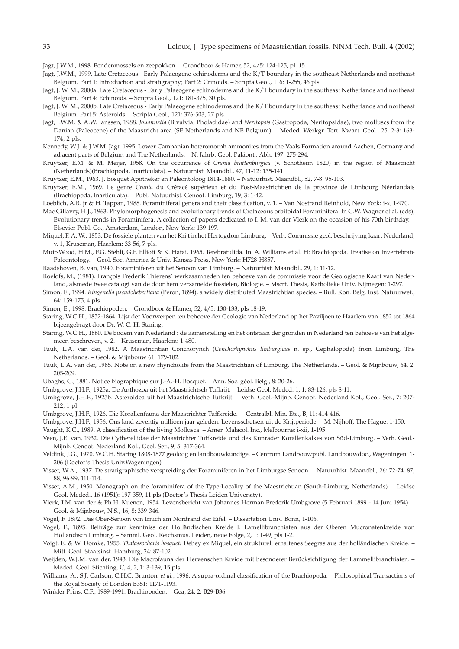Jagt, J.W.M., 1998. Eendenmossels en zeepokken. – Grondboor & Hamer, 52, 4/5: 124-125, pl. 15.

- Jagt, J.W.M., 1999. Late Cretaceous Early Palaeogene echinoderms and the K/T boundary in the southeast Netherlands and northeast Belgium. Part 1: Introduction and stratigraphy; Part 2: Crinoids. – Scripta Geol., 116: 1-255, 46 pls.
- Jagt, J. W. M., 2000a. Late Cretaceous Early Palaeogene echinoderms and the K/T boundary in the southeast Netherlands and northeast Belgium. Part 4: Echinoids. – Scripta Geol., 121: 181-375, 30 pls.
- Jagt, J. W. M., 2000b. Late Cretaceous Early Palaeogene echinoderms and the K/T boundary in the southeast Netherlands and northeast Belgium. Part 5: Asteroids. – Scripta Geol., 121: 376-503, 27 pls.
- Jagt, J.W.M. & A.W. Janssen, 1988. *Jouannetia* (Bivalvia, Pholadidae) and *Neritopsis* (Gastropoda, Neritopsidae), two molluscs from the Danian (Paleocene) of the Maastricht area (SE Netherlands and NE Belgium). – Meded. Werkgr. Tert. Kwart. Geol., 25, 2-3: 163- 174, 2 pls.
- Kennedy, W.J. & J.W.M. Jagt, 1995. Lower Campanian heteromorph ammonites from the Vaals Formation around Aachen, Germany and adjacent parts of Belgium and The Netherlands. – N. Jahrb. Geol. Paläont., Abh. 197: 275-294.
- Kruytzer, E.M. & M. Meijer, 1958. On the occurrence of *Crania brattenburgica* (v. Schotheim 1820) in the region of Maastricht (Netherlands)(Brachiopoda, Inarticulata). – Natuurhist. Maandbl., 47, 11-12: 135-141.

Kruytzer, E.M., 1963. J. Bosquet Apotheker en Paleontoloog 1814-1880. – Natuurhist. Maandbl., 52, 7-8: 95-103.

- Kruytzer, E.M., 1969. Le genre *Crania* du Crétacé supérieur et du Post-Maastrichtien de la province de Limbourg Néerlandais (Brachiopoda, Inarticulata). – Publ. Natuurhist. Genoot. Limburg, 19, 3: 1-42.
- Loeblich, A.R. jr & H. Tappan, 1988. Foraminiferal genera and their classification, v. 1. Van Nostrand Reinhold, New York: i-x, 1-970.
- Mac Gillavry, H.J., 1963. Phylomorphogenesis and evolutionary trends of Cretaceous orbitoidal Foraminifera. In C.W. Wagner et al*.* (eds), Evolutionary trends in Foraminifera. A collection of papers dedicated to I. M. van der Vlerk on the occasion of his 70th birthday. – Elsevier Publ. Co., Amsterdam, London, New York: 139-197.
- Miquel, F. A. W., 1853. De fossiele planten van het Krijt in het Hertogdom Limburg. Verh. Commissie geol. beschrijving kaart Nederland, v. 1, Kruseman, Haarlem: 33-56, 7 pls.
- Muir-Wood, H.M., F.G. Stehli, G.F. Elliott & K. Hatai, 1965. Terebratulida. In: A. Williams et al. H: Brachiopoda. Treatise on Invertebrate Paleontology. – Geol. Soc. America & Univ. Kansas Press, New York: H728-H857.
- Raadshoven, B. van, 1940. Foraminiferen uit het Senoon van Limburg. Natuurhist. Maandbl., 29, 1: 11-12.
- Roelofs, M., (1981). François Frederik Thierens' werkzaamheden ten behoeve van de commissie voor de Geologische Kaart van Nederland, alsmede twee catalogi van de door hem verzamelde fossielen, Biologie. – Mscrt. Thesis, Katholieke Univ. Nijmegen: 1-297.
- Simon, E., 1994. *Kingenella pseudohebertiana* (Peron, 1894), a widely distributed Maastrichtian species. Bull. Kon. Belg. Inst. Natuurwet., 64: 159-175, 4 pls.
- Simon, E., 1998. Brachiopoden. Grondboor & Hamer, 52, 4/5: 130-133, pls 18-19.
- Staring, W.C.H., 1852-1864. Lijst der Voorwerpen ten behoeve der Geologie van Nederland op het Paviljoen te Haarlem van 1852 tot 1864 bijeengebragt door Dr. W. C. H. Staring.
- Staring, W.C.H., 1860. De bodem van Nederland : de zamenstelling en het ontstaan der gronden in Nederland ten behoeve van het algemeen beschreven, v. 2. – Kruseman, Haarlem: 1-480.
- Tuuk, L.A. van der, 1982. A Maastrichtian Conchorynch (*Conchorhynchus limburgicus* n. sp., Cephalopoda) from Limburg, The Netherlands. – Geol. & Mijnbouw 61: 179-182.
- Tuuk, L.A. van der, 1985. Note on a new rhyncholite from the Maastrichtian of Limburg, The Netherlands. Geol. & Mijnbouw, 64, 2: 205-209.
- Ubaghs, C., 1881. Notice biographique sur J.-A.-H. Bosquet. Ann. Soc. géol. Belg., 8: 20-26.
- Umbgrove, J.H.F., 1925a. De Anthozoa uit het Maastrichtsch Tufkrijt. Leidse Geol. Meded. 1, 1: 83-126, pls 8-11.
- Umbgrove, J.H.F., 1925b. Asteroidea uit het Maastrichtsche Tufkrijt. Verh. Geol.-Mijnb. Genoot. Nederland Kol., Geol. Ser., 7: 207- 212, 1 pl.
- Umbgrove, J.H.F., 1926. Die Korallenfauna der Maastrichter Tuffkreide. Centralbl. Min. Etc., B, 11: 414-416.
- Umbgrove, J.H.F., 1956. Ons land zeventig millioen jaar geleden. Levensschetsen uit de Krijtperiode. M. Nijhoff, The Hague: 1-150.

Vaught, K.C., 1989. A classification of the living Mollusca. – Amer. Malacol. Inc., Melbourne: i-xii, 1-195.

- Veen, J.E. van, 1932. Die Cytherellidae der Maastrichter Tuffkreide und des Kunrader Korallenkalkes von Süd-Limburg. Verh. Geol.- Mijnb. Genoot. Nederland Kol., Geol. Ser., 9, 5: 317-364.
- Veldink, J.G., 1970. W.C.H. Staring 1808-1877 geoloog en landbouwkundige. Centrum Landbouwpubl. Landbouwdoc., Wageningen: 1- 206 (Doctor's Thesis Univ.Wageningen)
- Visser, W.A., 1937. De stratigraphische verspreiding der Foraminiferen in het Limburgse Senoon. Natuurhist. Maandbl., 26: 72-74, 87, 88, 96-99, 111-114.

Visser, A.M., 1950. Monograph on the foraminifera of the Type-Locality of the Maestrichtian (South-Limburg, Netherlands). – Leidse Geol. Meded., 16 (1951): 197-359, 11 pls (Doctor's Thesis Leiden University).

- Vlerk, I.M. van der & Ph.H. Kuenen, 1954. Levensbericht van Johannes Herman Frederik Umbgrove (5 Februari 1899 14 Juni 1954). Geol. & Mijnbouw, N.S., 16, 8: 339-346.
- Vogel, F. 1892. Das Ober-Senoon von Irnich am Nordrand der Eifel. Dissertation Univ. Bonn, 1-106.
- Vogel, F., 1895. Beiträge zur kenntniss der Holländischen Kreide I. Lamellibranchiaten aus der Oberen Mucronatenkreide von Holländisch Limburg. – Samml. Geol. Reichsmus. Leiden, neue Folge, 2, 1: 1-49, pls 1-2.
- Voigt, E. & W. Domke, 1955. *Thalassocharis bosqueti* Debey ex Miquel, ein strukturell erhaltenes Seegras aus der holländischen Kreide. Mitt. Geol. Staatsinst. Hamburg, 24: 87-102.
- Weijden, W.J.M. van der, 1943. Die Macrofauna der Hervenschen Kreide mit besonderer Berücksichtigung der Lammellibranchiaten. Meded. Geol. Stichting, C, 4, 2, 1: 3-139, 15 pls.
- Williams, A., S.J. Carlson, C.H.C. Brunton*, et al.*, 1996. A supra-ordinal classification of the Brachiopoda. Philosophical Transactions of the Royal Society of London B351: 1171-1193.
- Winkler Prins, C.F., 1989-1991. Brachiopoden. Gea, 24, 2: B29-B36.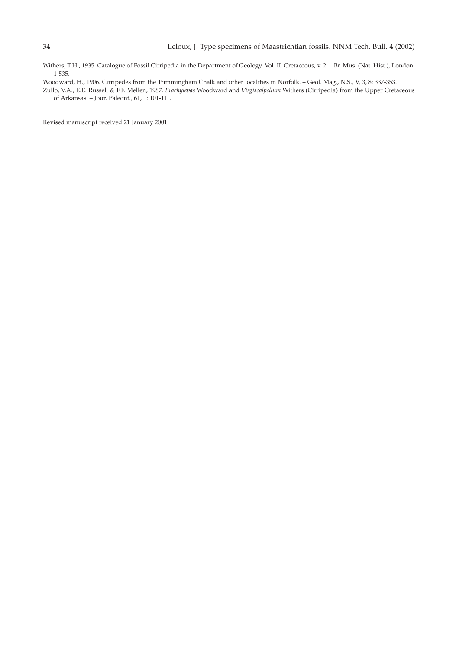Withers, T.H., 1935. Catalogue of Fossil Cirripedia in the Department of Geology. Vol. II. Cretaceous, v. 2. – Br. Mus. (Nat. Hist.), London: 1-535.

Woodward, H., 1906. Cirripedes from the Trimmingham Chalk and other localities in Norfolk. – Geol. Mag., N.S., V, 3, 8: 337-353.

Zullo, V.A., E.E. Russell & F.F. Mellen, 1987. *Brachylepas* Woodward and *Virgiscalpellum* Withers (Cirripedia) from the Upper Cretaceous of Arkansas. – Jour. Paleont., 61, 1: 101-111.

Revised manuscript received 21 January 2001.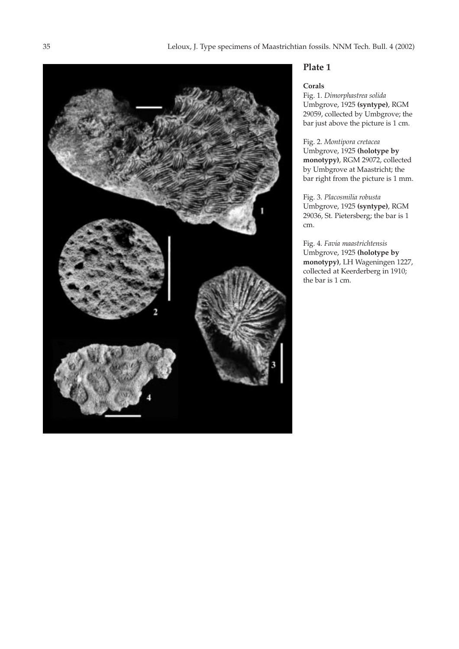

# **Corals**

Fig. 1. *Dimorphastrea solida* Umbgrove, 1925 **(syntype)**, RGM 29059, collected by Umbgrove; the bar just above the picture is 1 cm.

Fig. 2. *Montipora cretacea* Umbgrove, 1925 **(holotype by monotypy)**, RGM 29072, collected by Umbgrove at Maastricht; the bar right from the picture is 1 mm.

Fig. 3. *Placosmilia robusta* Umbgrove, 1925 **(syntype)**, RGM 29036, St. Pietersberg; the bar is 1 cm.

Fig. 4. *Favia maastrichtensis* Umbgrove, 1925 **(holotype by monotypy)**, LH Wageningen 1227, collected at Keerderberg in 1910; the bar is 1 cm.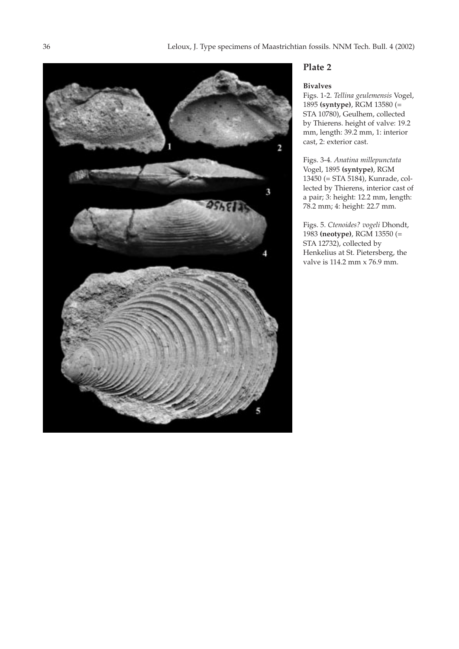

# **Bivalves**

Figs. 1-2. *Tellina geulemensis* Vogel, 1895 **(syntype)**, RGM 13580 (= STA 10780), Geulhem, collected by Thierens. height of valve: 19.2 mm, length: 39.2 mm, 1: interior cast, 2: exterior cast.

Figs. 3-4. *Anatina millepunctata* Vogel, 1895 **(syntype)**, RGM 13450 (= STA 5184), Kunrade, collected by Thierens, interior cast of a pair; 3: height: 12.2 mm, length: 78.2 mm; 4: height: 22.7 mm.

Figs. 5. *Ctenoides? vogeli* Dhondt, 1983 **(neotype)**, RGM 13550 (= STA 12732), collected by Henkelius at St. Pietersberg, the valve is 114.2 mm x 76.9 mm.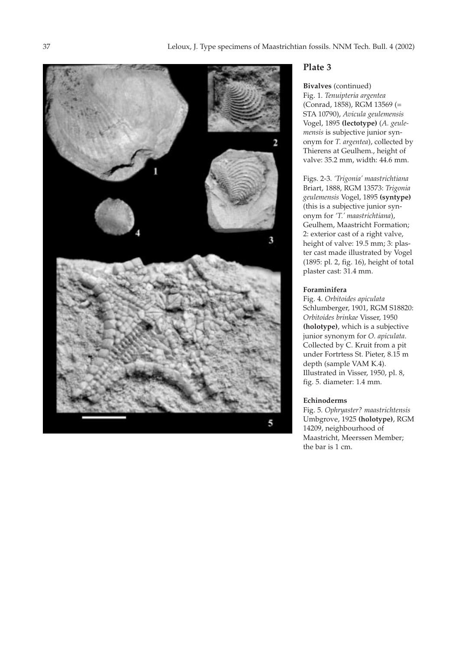

# **Bivalves** (continued)

Fig. 1. *Tenuipteria argentea* (Conrad, 1858), RGM 13569 (= STA 10790), *Avicula geulemensis* Vogel, 1895 **(lectotype)** (*A. geulemensis* is subjective junior synonym for *T. argentea*), collected by Thierens at Geulhem., height of valve: 35.2 mm, width: 44.6 mm.

Figs. 2-3. *'Trigonia' maastrichtiana* Briart, 1888, RGM 13573: *Trigonia geulemensis* Vogel, 1895 **(syntype)** (this is a subjective junior synonym for *'T.' maastrichtiana*), Geulhem, Maastricht Formation; 2: exterior cast of a right valve, height of valve: 19.5 mm; 3: plaster cast made illustrated by Vogel (1895: pl. 2, fig. 16), height of total plaster cast: 31.4 mm.

# **Foraminifera**

Fig. 4. *Orbitoides apiculata* Schlumberger, 1901, RGM S18820: *Orbitoides brinkae* Visser, 1950 **(holotype)**, which is a subjective junior synonym for *O. apiculata*. Collected by C. Kruit from a pit under Fortrtess St. Pieter, 8.15 m depth (sample VAM K.4). Illustrated in Visser, 1950, pl. 8, fig. 5. diameter: 1.4 mm.

# **Echinoderms**

Fig. 5. *Ophryaster? maastrichtensis* Umbgrove, 1925 **(holotype)**, RGM 14209, neighbourhood of Maastricht, Meerssen Member; the bar is 1 cm.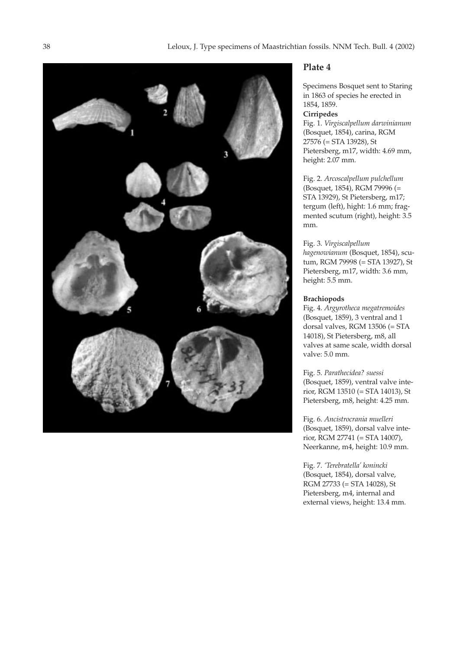

Specimens Bosquet sent to Staring in 1863 of species he erected in 1854, 1859. **Cirripedes** Fig. 1. *Virgiscalpellum darwinianum* (Bosquet, 1854), carina, RGM 27576 (= STA 13928), St Pietersberg, m17, width: 4.69 mm, height: 2.07 mm.

Fig. 2. *Arcoscalpellum pulchellum* (Bosquet, 1854), RGM 79996 (= STA 13929), St Pietersberg, m17; tergum (left), hight: 1.6 mm; fragmented scutum (right), height: 3.5 mm.

Fig. 3. *Virgiscalpellum hagenowianum* (Bosquet, 1854), scutum, RGM 79998 (= STA 13927), St Pietersberg, m17, width: 3.6 mm, height: 5.5 mm.

# **Brachiopods**

Fig. 4. *Argyrotheca megatremoides* (Bosquet, 1859), 3 ventral and 1 dorsal valves, RGM 13506 (= STA 14018), St Pietersberg, m8, all valves at same scale, width dorsal valve: 5.0 mm.

Fig. 5. *Parathecidea? suessi* (Bosquet, 1859), ventral valve interior, RGM 13510 (= STA 14013), St Pietersberg, m8, height: 4.25 mm.

Fig. 6. *Ancistrocrania muelleri* (Bosquet, 1859), dorsal valve interior, RGM 27741 (= STA 14007), Neerkanne, m4, height: 10.9 mm.

Fig. 7. *'Terebratella' konincki* (Bosquet, 1854), dorsal valve, RGM 27733 (= STA 14028), St Pietersberg, m4, internal and external views, height: 13.4 mm.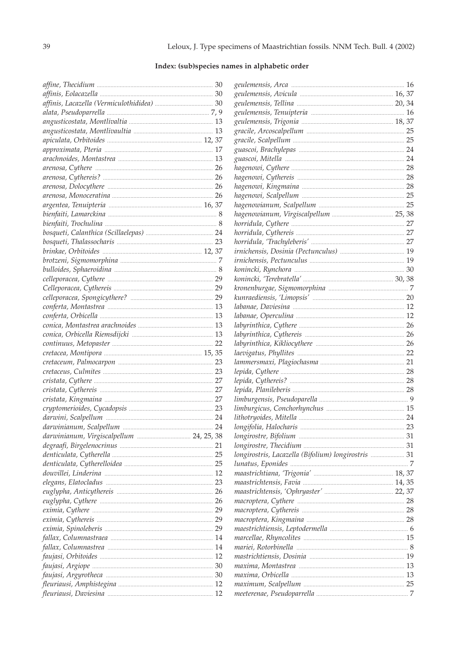# Index: (sub)species names in alphabetic order

|  | longirostris, Lacazella (Bifolium) longirostris  31 |  |
|--|-----------------------------------------------------|--|
|  |                                                     |  |
|  |                                                     |  |
|  |                                                     |  |
|  |                                                     |  |
|  |                                                     |  |
|  |                                                     |  |
|  |                                                     |  |
|  |                                                     |  |
|  |                                                     |  |
|  |                                                     |  |
|  |                                                     |  |
|  |                                                     |  |
|  |                                                     |  |
|  |                                                     |  |
|  |                                                     |  |
|  |                                                     |  |